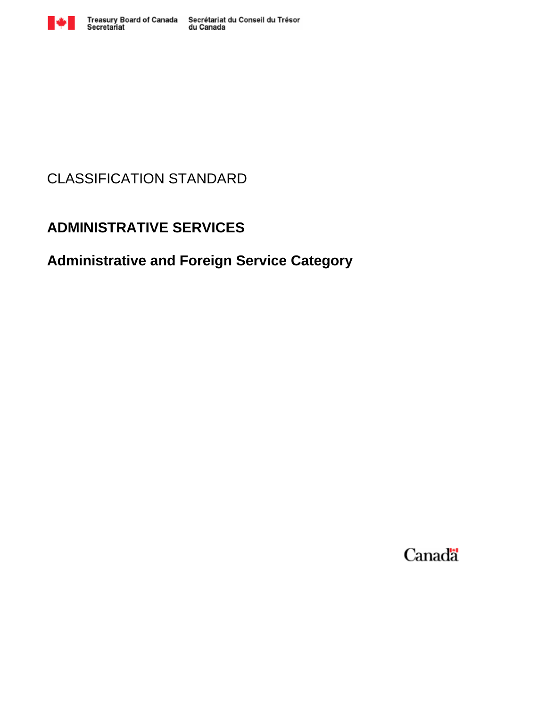

# CLASSIFICATION STANDARD

# **ADMINISTRATIVE SERVICES**

# **Administrative and Foreign Service Category**

Canada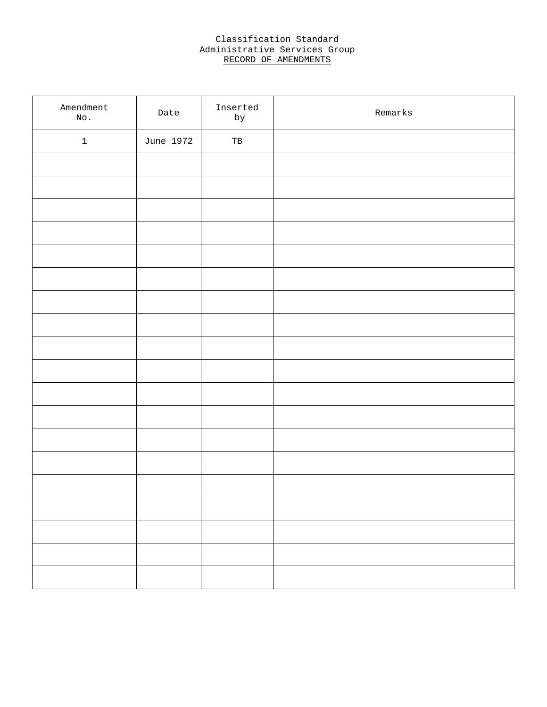### Classification Standard Administrative Services Group RECORD OF AMENDMENTS

| Amendment<br>$\rm\,N\rm{O}$ . | Date      | Inserted<br>by | Remarks |
|-------------------------------|-----------|----------------|---------|
| $\ensuremath{\mathsf{1}}$     | June 1972 | $_{\rm TB}$    |         |
|                               |           |                |         |
|                               |           |                |         |
|                               |           |                |         |
|                               |           |                |         |
|                               |           |                |         |
|                               |           |                |         |
|                               |           |                |         |
|                               |           |                |         |
|                               |           |                |         |
|                               |           |                |         |
|                               |           |                |         |
|                               |           |                |         |
|                               |           |                |         |
|                               |           |                |         |
|                               |           |                |         |
|                               |           |                |         |
|                               |           |                |         |
|                               |           |                |         |
|                               |           |                |         |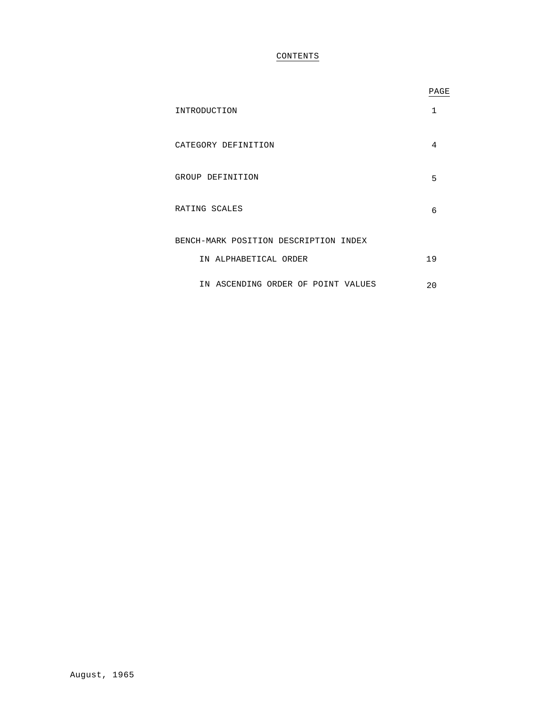### CONTENTS

|                                       | PAGE |
|---------------------------------------|------|
| INTRODUCTION                          | 1    |
| CATEGORY DEFINITION                   | 4    |
| GROUP DEFINITION                      | 5    |
| RATING SCALES                         | 6    |
| BENCH-MARK POSITION DESCRIPTION INDEX |      |
| IN ALPHABETICAL ORDER                 | 19   |
| IN ASCENDING ORDER OF POINT VALUES    | 20   |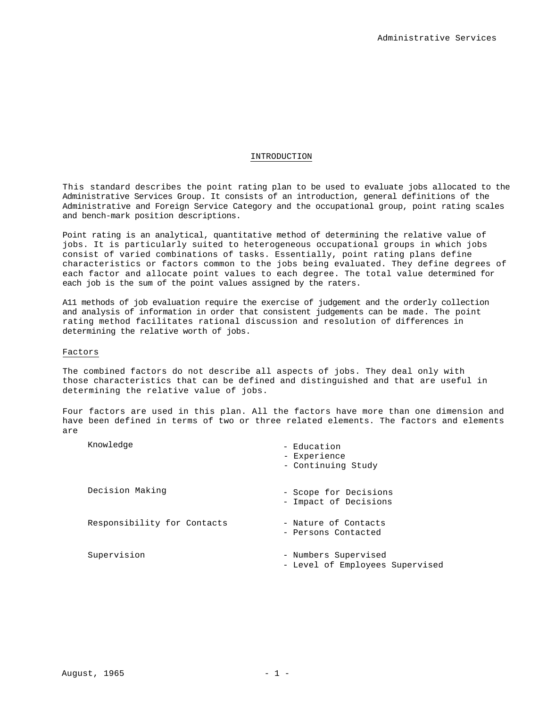#### INTRODUCTION

This standard describes the point rating plan to be used to evaluate jobs allocated to the Administrative Services Group. It consists of an introduction, general definitions of the Administrative and Foreign Service Category and the occupational group, point rating scales and bench-mark position descriptions.

Point rating is an analytical, quantitative method of determining the relative value of jobs. It is particularly suited to heterogeneous occupational groups in which jobs consist of varied combinations of tasks. Essentially, point rating plans define characteristics or factors common to the jobs being evaluated. They define degrees of each factor and allocate point values to each degree. The total value determined for each job is the sum of the point values assigned by the raters.

A11 methods of job evaluation require the exercise of judgement and the orderly collection and analysis of information in order that consistent judgements can be made. The point rating method facilitates rational discussion and resolution of differences in determining the relative worth of jobs.

#### Factors

The combined factors do not describe all aspects of jobs. They deal only with those characteristics that can be defined and distinguished and that are useful in determining the relative value of jobs.

Four factors are used in this plan. All the factors have more than one dimension and have been defined in terms of two or three related elements. The factors and elements are

| Knowledge                   | - Education<br>- Experience<br>- Continuing Study       |
|-----------------------------|---------------------------------------------------------|
| Decision Making             | - Scope for Decisions<br>- Impact of Decisions          |
| Responsibility for Contacts | - Nature of Contacts<br>- Persons Contacted             |
| Supervision                 | - Numbers Supervised<br>- Level of Employees Supervised |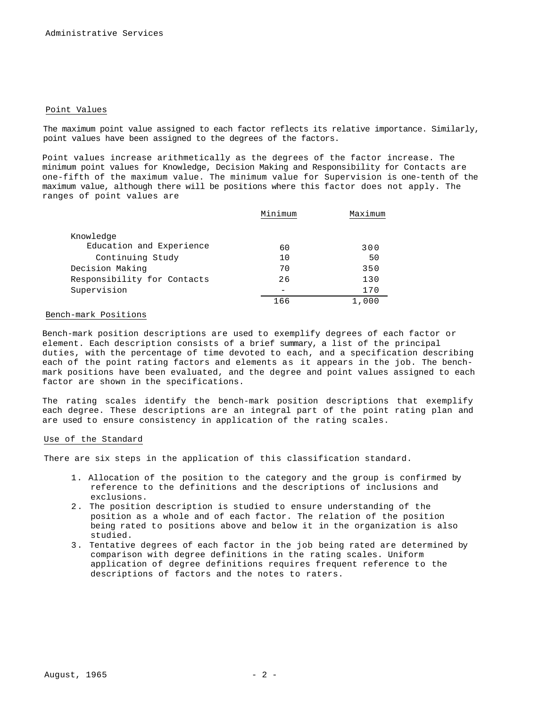#### Point Values

The maximum point value assigned to each factor reflects its relative importance. Similarly, point values have been assigned to the degrees of the factors.

Point values increase arithmetically as the degrees of the factor increase. The minimum point values for Knowledge, Decision Making and Responsibility for Contacts are one-fifth of the maximum value. The minimum value for Supervision is one-tenth of the maximum value, although there will be positions where this factor does not apply. The ranges of point values are

|                             | Minimum | Maximum |
|-----------------------------|---------|---------|
|                             |         |         |
| Knowledge                   |         |         |
| Education and Experience    | 60      | 300     |
| Continuing Study            | 10      | 50      |
| Decision Making             | 70      | 350     |
| Responsibility for Contacts | 26      | 130     |
| Supervision                 |         | 170     |
|                             | 166     | 1,000   |

#### Bench-mark Positions

Bench-mark position descriptions are used to exemplify degrees of each factor or element. Each description consists of a brief summary, a list of the principal duties, with the percentage of time devoted to each, and a specification describing each of the point rating factors and elements as it appears in the job. The benchmark positions have been evaluated, and the degree and point values assigned to each factor are shown in the specifications.

The rating scales identify the bench-mark position descriptions that exemplify each degree. These descriptions are an integral part of the point rating plan and are used to ensure consistency in application of the rating scales.

#### Use of the Standard

There are six steps in the application of this classification standard.

- 1. Allocation of the position to the category and the group is confirmed by reference to the definitions and the descriptions of inclusions and exclusions.
- 2 . The position description is studied to ensure understanding of the position as a whole and of each factor. The relation of the position being rated to positions above and below it in the organization is also studied.
- 3. Tentative degrees of each factor in the job being rated are determined by comparison with degree definitions in the rating scales. Uniform application of degree definitions requires frequent reference to the descriptions of factors and the notes to raters.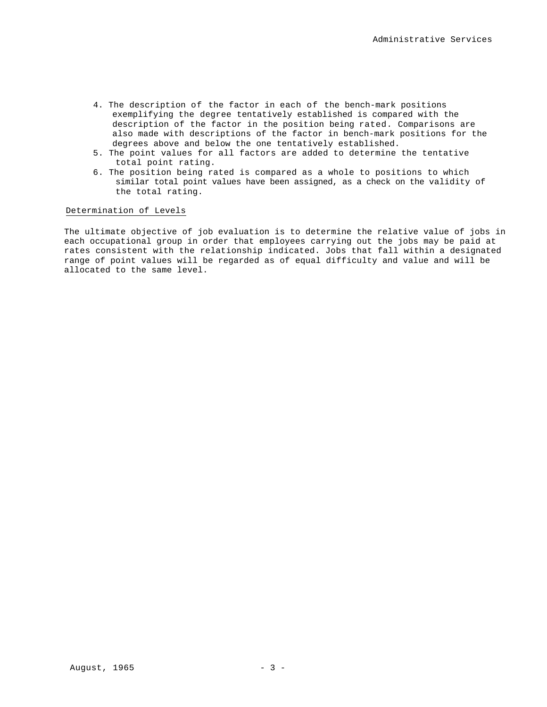- 4. The description of the factor in each of the bench-mark positions exemplifying the degree tentatively established is compared with the description of the factor in the position being rated. Comparisons are also made with descriptions of the factor in bench-mark positions for the degrees above and below the one tentatively established.
- 5. The point values for all factors are added to determine the tentative total point rating.
- 6. The position being rated is compared as a whole to positions to which similar total point values have been assigned, as a check on the validity of the total rating.

### Determination of Levels

The ultimate objective of job evaluation is to determine the relative value of jobs in each occupational group in order that employees carrying out the jobs may be paid at rates consistent with the relationship indicated. Jobs that fall within a designated range of point values will be regarded as of equal difficulty and value and will be allocated to the same level.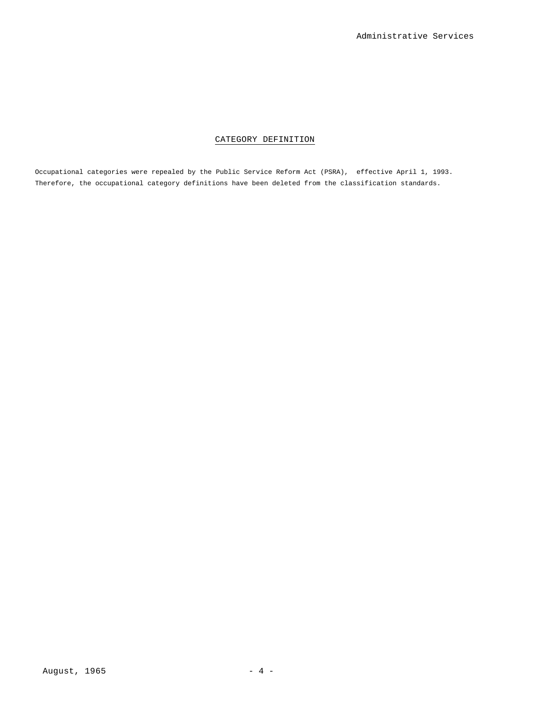### CATEGORY DEFINITION

Occupational categories were repealed by the Public Service Reform Act (PSRA), effective April 1, 1993. Therefore, the occupational category definitions have been deleted from the classification standards.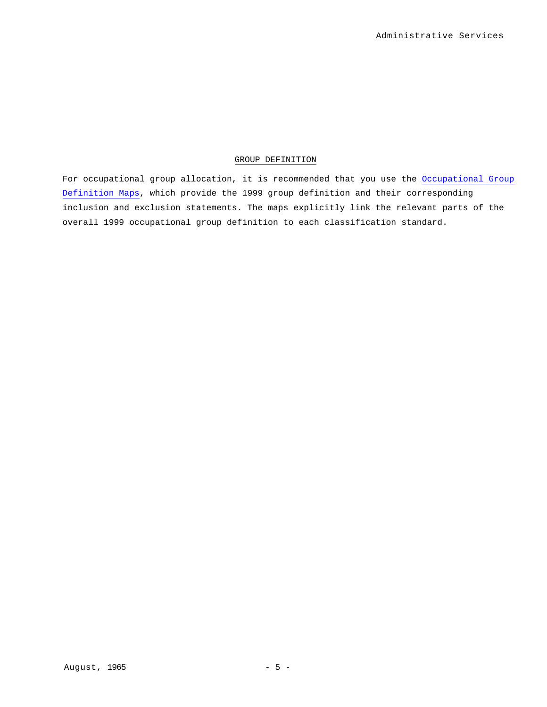### GROUP DEFINITION

For occupational group allocation, it is recommended that you use the Occupational Group Definition Maps, which provide the 1999 group definition and their corresponding inclusion and exclusion statements. The maps explicitly link the relevant parts of the overall 1999 occupational group definition to each classification standard.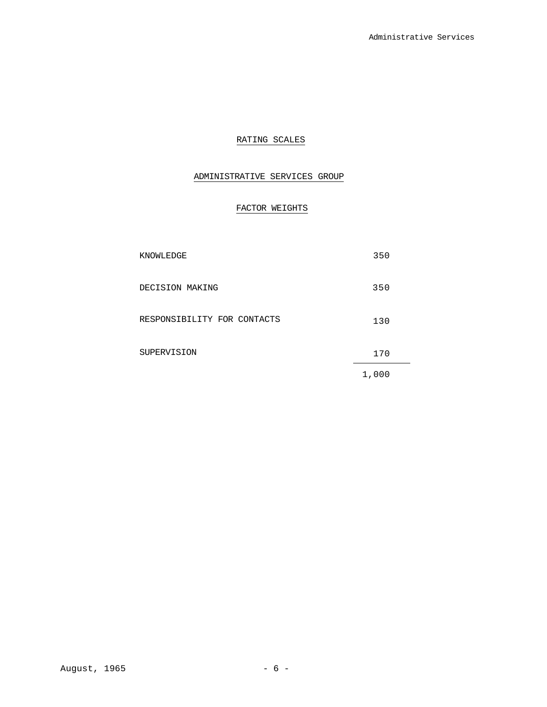### RATING SCALES

### ADMINISTRATIVE SERVICES GROUP

### FACTOR WEIGHTS

| KNOWLEDGE                   | 350   |
|-----------------------------|-------|
| DECISION MAKING             | 350   |
| RESPONSIBILITY FOR CONTACTS | 130   |
| SUPERVISION                 | 170   |
|                             | 1,000 |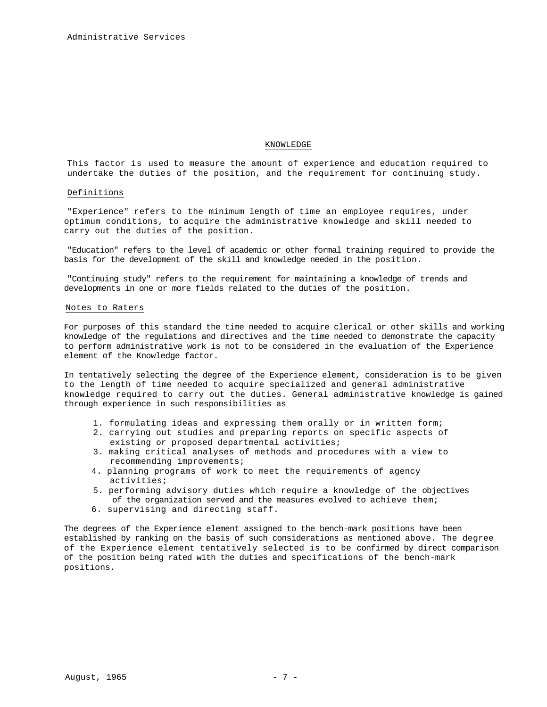#### KNOWLEDGE

This factor is used to measure the amount of experience and education required to undertake the duties of the position, and the requirement for continuing study.

#### Definitions

"Experience" refers to the minimum length of time an employee requires, under optimum conditions, to acquire the administrative knowledge and skill needed to carry out the duties of the position.

"Education" refers to the level of academic or other formal training required to provide the basis for the development of the skill and knowledge needed in the position.

"Continuing study" refers to the requirement for maintaining a knowledge of trends and developments in one or more fields related to the duties of the position.

#### Notes to Raters

For purposes of this standard the time needed to acquire clerical or other skills and working knowledge of the regulations and directives and the time needed to demonstrate the capacity to perform administrative work is not to be considered in the evaluation of the Experience element of the Knowledge factor.

In tentatively selecting the degree of the Experience element, consideration is to be given to the length of time needed to acquire specialized and general administrative knowledge required to carry out the duties. General administrative knowledge is gained through experience in such responsibilities as

- 1. formulating ideas and expressing them orally or in written form;
- 2. carrying out studies and preparing reports on specific aspects of existing or proposed departmental activities;
- 3. making critical analyses of methods and procedures with a view to recommending improvements;
- 4. planning programs of work to meet the requirements of agency activities;
- 5. performing advisory duties which require a knowledge of the objectives of the organization served and the measures evolved to achieve them;
- 6. supervising and directing staff.

The degrees of the Experience element assigned to the bench-mark positions have been established by ranking on the basis of such considerations as mentioned above. The degree of the Experience element tentatively selected is to be confirmed by direct comparison of the position being rated with the duties and specifications of the bench-mark positions.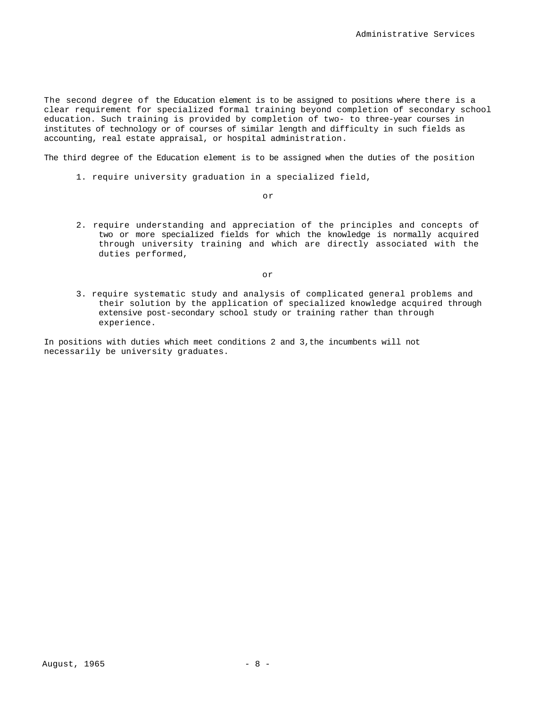The second degree of the Education element is to be assigned to positions where there is a clear requirement for specialized formal training beyond completion of secondary school education. Such training is provided by completion of two- to three-year courses in institutes of technology or of courses of similar length and difficulty in such fields as accounting, real estate appraisal, or hospital administration.

The third degree of the Education element is to be assigned when the duties of the position

1. require university graduation in a specialized field,

or

2. require understanding and appreciation of the principles and concepts of two or more specialized fields for which the knowledge is normally acquired through university training and which are directly associated with the duties performed,

or

3. require systematic study and analysis of complicated general problems and their solution by the application of specialized knowledge acquired through extensive post-secondary school study or training rather than through experience.

In positions with duties which meet conditions 2 and 3,the incumbents will not necessarily be university graduates.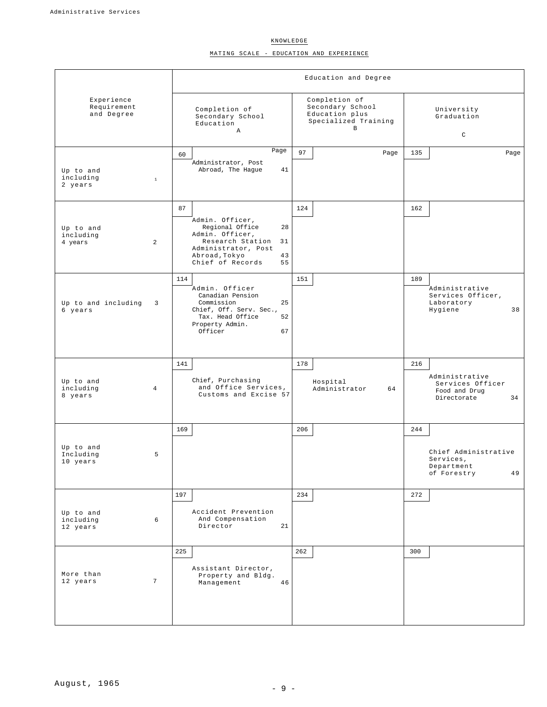KNOWLEDGE

MATING SCALE - EDUCATION AND EXPERIENCE

|                                         |                         | Education and Degree                                                                                                                                                |                                                                                  |                                                                                 |  |  |  |
|-----------------------------------------|-------------------------|---------------------------------------------------------------------------------------------------------------------------------------------------------------------|----------------------------------------------------------------------------------|---------------------------------------------------------------------------------|--|--|--|
| Experience<br>Requirement<br>and Degree |                         | Completion of<br>Secondary School<br>Education<br>$\mathbb{A}$                                                                                                      | Completion of<br>Secondary School<br>Education plus<br>Specialized Training<br>B | University<br>Graduation<br>$\mathtt{C}$                                        |  |  |  |
| Up to and<br>including<br>2 years       | $1\,$                   | Page<br>60<br>Administrator, Post<br>Abroad, The Hague<br>41                                                                                                        | 97<br>Page                                                                       | 135<br>Page                                                                     |  |  |  |
| Up to and<br>including<br>4 years       | 2                       | 87<br>Admin. Officer,<br>Regional Office<br>28<br>Admin. Officer,<br>Research Station<br>31<br>Administrator, Post<br>Abroad, Tokyo<br>43<br>Chief of Records<br>55 | 124                                                                              | 162                                                                             |  |  |  |
| Up to and including<br>6 years          | $\overline{\mathbf{3}}$ | 114<br>Admin. Officer<br>Canadian Pension<br>Commission<br>25<br>Chief, Off. Serv. Sec.,<br>Tax. Head Office<br>52<br>Property Admin.<br>Officer<br>67              | 151                                                                              | 189<br>Administrative<br>Services Officer,<br>Laboratory<br>Hygiene<br>38       |  |  |  |
| Up to and<br>including<br>8 years       | $\overline{4}$          | 141<br>Chief, Purchasing<br>and Office Services,<br>Customs and Excise 57                                                                                           | 178<br>Hospital<br>Administrator<br>64                                           | 216<br>Administrative<br>Services Officer<br>Food and Drug<br>34<br>Directorate |  |  |  |
| Up to and<br>Including<br>10 years      | 5                       | 169                                                                                                                                                                 | 206                                                                              | 244<br>Chief Administrative<br>Services,<br>Department<br>49<br>of Forestry     |  |  |  |
| Up to and<br>including<br>12 years      | 6                       | 197<br>Accident Prevention<br>And Compensation<br>Director<br>21                                                                                                    | 234                                                                              | 272                                                                             |  |  |  |
| More than<br>12 years                   | $7\phantom{.0}$         | 225<br>Assistant Director,<br>Property and Bldg.<br>Management<br>46                                                                                                | 262                                                                              | 300                                                                             |  |  |  |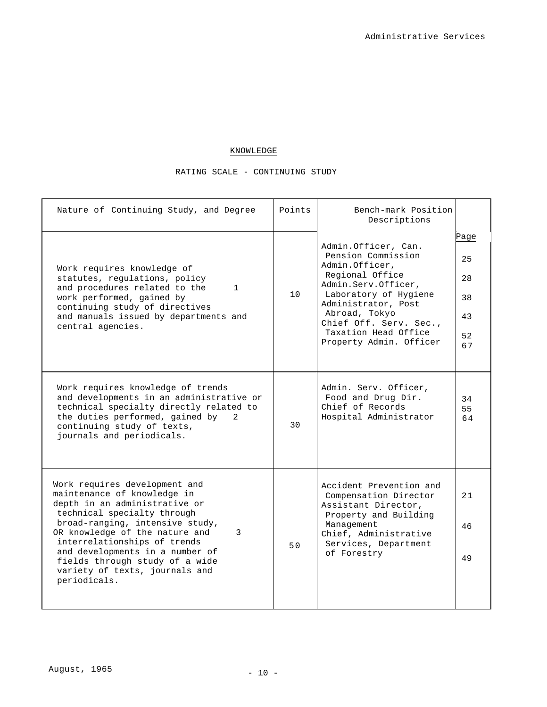## KNOWLEDGE

## RATING SCALE - CONTINUING STUDY

| Nature of Continuing Study, and Degree                                                                                                                                                                                                                                                                                                                        | Points | Bench-mark Position<br>Descriptions                                                                                                                                                                                                                 |                                          |
|---------------------------------------------------------------------------------------------------------------------------------------------------------------------------------------------------------------------------------------------------------------------------------------------------------------------------------------------------------------|--------|-----------------------------------------------------------------------------------------------------------------------------------------------------------------------------------------------------------------------------------------------------|------------------------------------------|
| Work requires knowledge of<br>statutes, requlations, policy<br>and procedures related to the<br>$\mathbf{1}$<br>work performed, gained by<br>continuing study of directives<br>and manuals issued by departments and<br>central agencies.                                                                                                                     | 10     | Admin.Officer, Can.<br>Pension Commission<br>Admin.Officer,<br>Regional Office<br>Admin.Serv.Officer,<br>Laboratory of Hygiene<br>Administrator, Post<br>Abroad, Tokyo<br>Chief Off. Serv. Sec.,<br>Taxation Head Office<br>Property Admin. Officer | Page<br>25<br>28<br>38<br>43<br>52<br>67 |
| Work requires knowledge of trends<br>and developments in an administrative or<br>technical specialty directly related to<br>the duties performed, gained by<br>2<br>continuing study of texts,<br>journals and periodicals.                                                                                                                                   | 30     | Admin. Serv. Officer,<br>Food and Drug Dir.<br>Chief of Records<br>Hospital Administrator                                                                                                                                                           | 34<br>55<br>64                           |
| Work requires development and<br>maintenance of knowledge in<br>depth in an administrative or<br>technical specialty through<br>broad-ranging, intensive study,<br>OR knowledge of the nature and<br>3<br>interrelationships of trends<br>and developments in a number of<br>fields through study of a wide<br>variety of texts, journals and<br>periodicals. | 50     | Accident Prevention and<br>Compensation Director<br>Assistant Director,<br>Property and Building<br>Management<br>Chief, Administrative<br>Services, Department<br>of Forestry                                                                      | 21<br>46<br>49                           |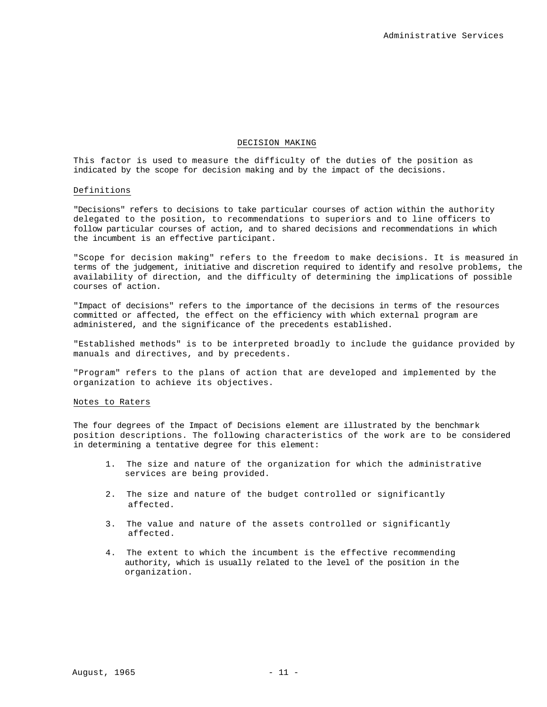#### DECISION MAKING

This factor is used to measure the difficulty of the duties of the position as indicated by the scope for decision making and by the impact of the decisions.

#### Definitions

"Decisions" refers to decisions to take particular courses of action within the authority delegated to the position, to recommendations to superiors and to line officers to follow particular courses of action, and to shared decisions and recommendations in which the incumbent is an effective participant.

"Scope for decision making" refers to the freedom to make decisions. It is measured in terms of the judgement, initiative and discretion required to identify and resolve problems, the availability of direction, and the difficulty of determining the implications of possible courses of action.

"Impact of decisions" refers to the importance of the decisions in terms of the resources committed or affected, the effect on the efficiency with which external program are administered, and the significance of the precedents established.

"Established methods" is to be interpreted broadly to include the guidance provided by manuals and directives, and by precedents.

"Program" refers to the plans of action that are developed and implemented by the organization to achieve its objectives.

#### Notes to Raters

The four degrees of the Impact of Decisions element are illustrated by the benchmark position descriptions. The following characteristics of the work are to be considered in determining a tentative degree for this element:

- 1. The size and nature of the organization for which the administrative services are being provided.
- 2. The size and nature of the budget controlled or significantly affected.
- 3. The value and nature of the assets controlled or significantly affected.
- 4. The extent to which the incumbent is the effective recommending authority, which is usually related to the level of the position in the organization.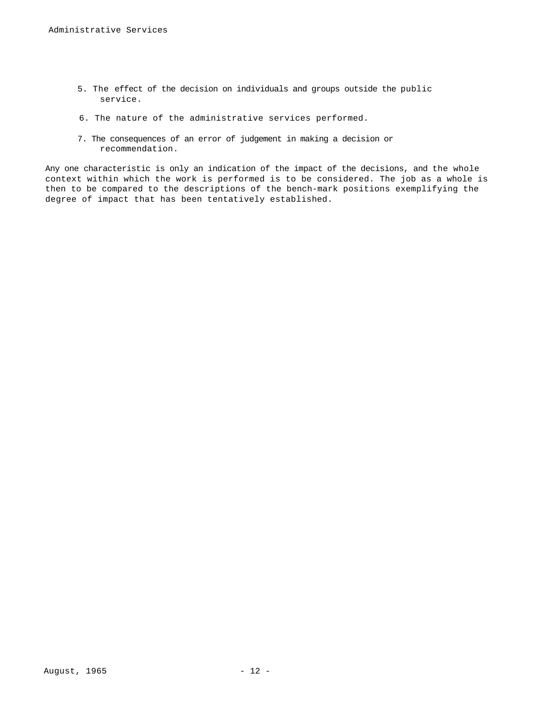- 5. The effect of the decision on individuals and groups outside the public service.
- 6. The nature of the administrative services performed.
- 7. The consequences of an error of judgement in making a decision or recommendation.

Any one characteristic is only an indication of the impact of the decisions, and the whole context within which the work is performed is to be considered. The job as a whole is then to be compared to the descriptions of the bench-mark positions exemplifying the degree of impact that has been tentatively established.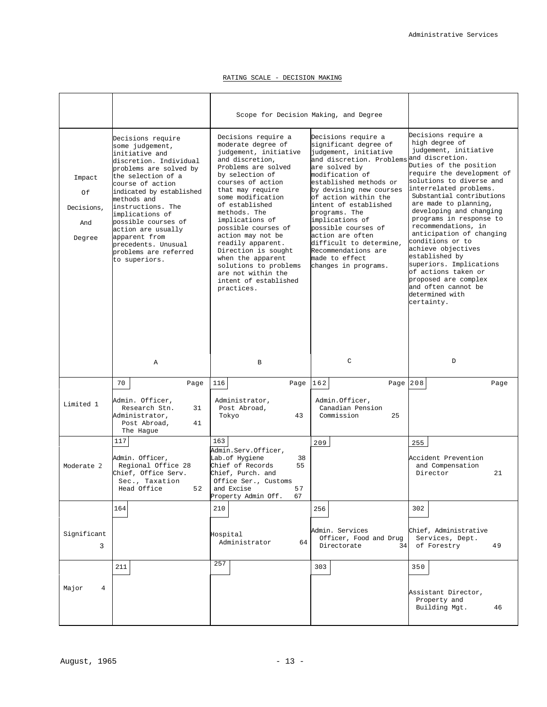### RATING SCALE - DECISION MAKING

|                                             |                                                                                                                                                                                                                                                                                                                                                                        | Scope for Decision Making, and Degree                                                                                                                                                                                                                                                                                                                                                                                                                 |                                                                                                                                                                                                                                                                                                                                                                                                                                        |                                                                                                                                                                                                                                                                                                                                                                                                                                                                                                                                           |
|---------------------------------------------|------------------------------------------------------------------------------------------------------------------------------------------------------------------------------------------------------------------------------------------------------------------------------------------------------------------------------------------------------------------------|-------------------------------------------------------------------------------------------------------------------------------------------------------------------------------------------------------------------------------------------------------------------------------------------------------------------------------------------------------------------------------------------------------------------------------------------------------|----------------------------------------------------------------------------------------------------------------------------------------------------------------------------------------------------------------------------------------------------------------------------------------------------------------------------------------------------------------------------------------------------------------------------------------|-------------------------------------------------------------------------------------------------------------------------------------------------------------------------------------------------------------------------------------------------------------------------------------------------------------------------------------------------------------------------------------------------------------------------------------------------------------------------------------------------------------------------------------------|
| Impact<br>Of<br>Decisions,<br>And<br>Degree | Decisions require<br>some judgement,<br>initiative and<br>discretion. Individual<br>problems are solved by<br>the selection of a<br>course of action<br>indicated by established<br>methods and<br>instructions. The<br>implications of<br>possible courses of<br>action are usually<br>apparent from<br>precedents. Unusual<br>problems are referred<br>to superiors. | Decisions require a<br>moderate degree of<br>judgement, initiative<br>and discretion,<br>Problems are solved<br>by selection of<br>courses of action<br>that may require<br>some modification<br>of established<br>methods, The<br>implications of<br>possible courses of<br>action may not be<br>readily apparent.<br>Direction is sought<br>when the apparent<br>solutions to problems<br>are not within the<br>intent of established<br>practices. | Decisions require a<br>significant degree of<br>judgement, initiative<br>and discretion. Problems and discretion.<br>are solved by<br>modification of<br>established methods or<br>by devising new courses<br>of action within the<br>intent of established<br>programs. The<br>implications of<br>possible courses of<br>action are often<br>difficult to determine,<br>Recommendations are<br>made to effect<br>changes in programs. | Decisions require a<br>high degree of<br>judgement, initiative<br>Duties of the position<br>require the development of<br>solutions to diverse and<br>interrelated problems.<br>Substantial contributions<br>are made to planning,<br>developing and changing<br>programs in response to<br>recommendations, in<br>anticipation of changing<br>conditions or to<br>achieve objectives<br>established by<br>superiors. Implications<br>of actions taken or<br>proposed are complex<br>and often cannot be<br>determined with<br>certainty. |
|                                             | $\mathbb{A}$                                                                                                                                                                                                                                                                                                                                                           | $\mathbf B$                                                                                                                                                                                                                                                                                                                                                                                                                                           | $\mathsf{C}$                                                                                                                                                                                                                                                                                                                                                                                                                           | D                                                                                                                                                                                                                                                                                                                                                                                                                                                                                                                                         |
| Limited 1                                   | 70<br>Page<br>Admin. Officer,<br>Research Stn.<br>31<br>Administrator,<br>Post Abroad,<br>41<br>The Hague                                                                                                                                                                                                                                                              | Page $162$<br>116<br>Administrator,<br>Post Abroad,<br>43<br>Tokyo                                                                                                                                                                                                                                                                                                                                                                                    | Page $208$<br>Admin.Officer,<br>Canadian Pension<br>Commission<br>25                                                                                                                                                                                                                                                                                                                                                                   | Page                                                                                                                                                                                                                                                                                                                                                                                                                                                                                                                                      |
| Moderate 2                                  | 117<br>Admin. Officer,<br>Regional Office 28<br>Chief, Office Serv.<br>Sec., Taxation<br>52<br>Head Office                                                                                                                                                                                                                                                             | 163<br>Admin.Serv.Officer,<br>Lab.of Hygiene<br>38<br>Chief of Records<br>55<br>Chief, Purch. and<br>Office Ser., Customs<br>57<br>and Excise<br>67<br>Property Admin Off.                                                                                                                                                                                                                                                                            | 209                                                                                                                                                                                                                                                                                                                                                                                                                                    | 255<br>Accident Prevention<br>and Compensation<br>Director<br>21                                                                                                                                                                                                                                                                                                                                                                                                                                                                          |
| Significant<br>3                            | 164                                                                                                                                                                                                                                                                                                                                                                    | 210<br>Hospital<br>Administrator<br>64                                                                                                                                                                                                                                                                                                                                                                                                                | 256<br>Admin. Services<br>Officer, Food and Drug<br>Directorate<br>34 <sub>1</sub>                                                                                                                                                                                                                                                                                                                                                     | 302<br>Chief, Administrative<br>Services, Dept.<br>of Forestry<br>49                                                                                                                                                                                                                                                                                                                                                                                                                                                                      |
| Major<br>4                                  | 211                                                                                                                                                                                                                                                                                                                                                                    | 257                                                                                                                                                                                                                                                                                                                                                                                                                                                   | 303                                                                                                                                                                                                                                                                                                                                                                                                                                    | 350<br>Assistant Director,<br>Property and<br>Building Mgt.<br>46                                                                                                                                                                                                                                                                                                                                                                                                                                                                         |
|                                             |                                                                                                                                                                                                                                                                                                                                                                        |                                                                                                                                                                                                                                                                                                                                                                                                                                                       |                                                                                                                                                                                                                                                                                                                                                                                                                                        |                                                                                                                                                                                                                                                                                                                                                                                                                                                                                                                                           |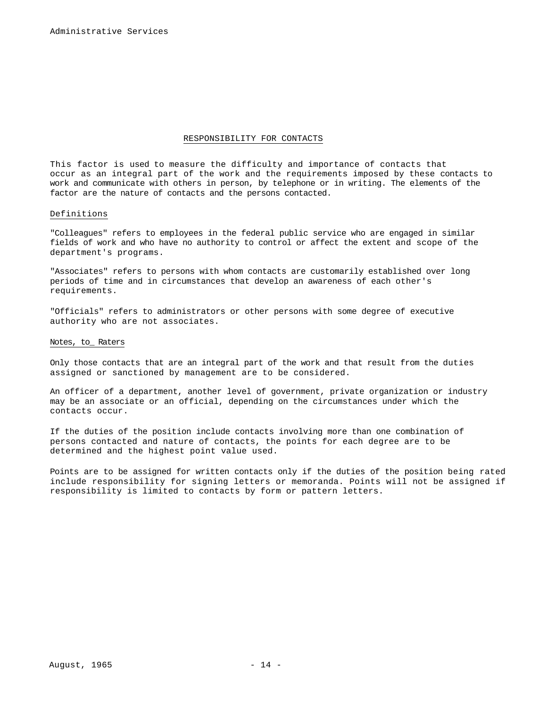#### RESPONSIBILITY FOR CONTACTS

This factor is used to measure the difficulty and importance of contacts that occur as an integral part of the work and the requirements imposed by these contacts to work and communicate with others in person, by telephone or in writing. The elements of the factor are the nature of contacts and the persons contacted.

#### Definitions

"Colleagues" refers to employees in the federal public service who are engaged in similar fields of work and who have no authority to control or affect the extent and scope of the department's programs.

"Associates" refers to persons with whom contacts are customarily established over long periods of time and in circumstances that develop an awareness of each other's requirements.

"Officials" refers to administrators or other persons with some degree of executive authority who are not associates.

### Notes, to\_ Raters

Only those contacts that are an integral part of the work and that result from the duties assigned or sanctioned by management are to be considered.

An officer of a department, another level of government, private organization or industry may be an associate or an official, depending on the circumstances under which the contacts occur.

If the duties of the position include contacts involving more than one combination of persons contacted and nature of contacts, the points for each degree are to be determined and the highest point value used.

Points are to be assigned for written contacts only if the duties of the position being rated include responsibility for signing letters or memoranda. Points will not be assigned if responsibility is limited to contacts by form or pattern letters.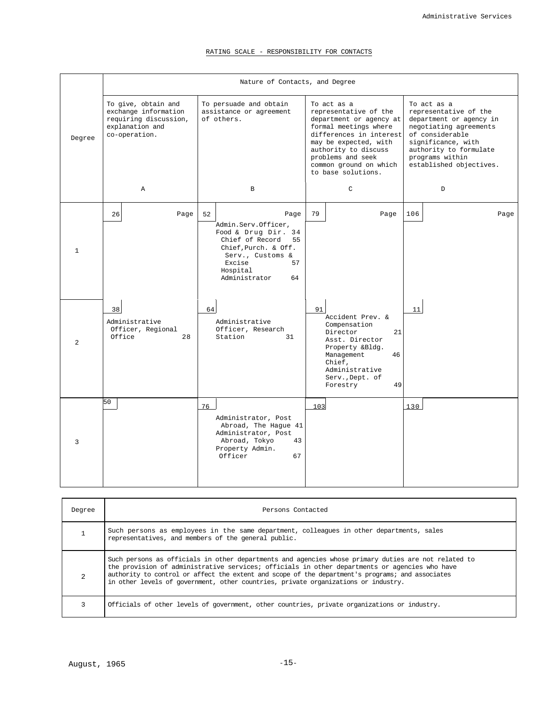### RATING SCALE - RESPONSIBILITY FOR CONTACTS

|                | Nature of Contacts, and Degree                                                                           |                                                                                                                                                                               |                                                                                                                                                                                                                                           |                                                                                                                                                                                                            |  |  |  |  |
|----------------|----------------------------------------------------------------------------------------------------------|-------------------------------------------------------------------------------------------------------------------------------------------------------------------------------|-------------------------------------------------------------------------------------------------------------------------------------------------------------------------------------------------------------------------------------------|------------------------------------------------------------------------------------------------------------------------------------------------------------------------------------------------------------|--|--|--|--|
| Degree         | To give, obtain and<br>exchange information<br>requiring discussion,<br>explanation and<br>co-operation. | To persuade and obtain<br>assistance or agreement<br>of others.                                                                                                               | To act as a<br>representative of the<br>department or agency at<br>formal meetings where<br>differences in interest<br>may be expected, with<br>authority to discuss<br>problems and seek<br>common ground on which<br>to base solutions. | To act as a<br>representative of the<br>department or agency in<br>negotiating agreements<br>of considerable<br>significance, with<br>authority to formulate<br>programs within<br>established objectives. |  |  |  |  |
|                | $\mathbb{A}$                                                                                             | $\mathbf{B}$                                                                                                                                                                  | $\mathcal{C}$                                                                                                                                                                                                                             | $\mathbb D$                                                                                                                                                                                                |  |  |  |  |
| $\mathbf{1}$   | 26<br>Page                                                                                               | 52<br>Page<br>Admin.Serv.Officer,<br>Food & Drug Dir. 34<br>Chief of Record 55<br>Chief, Purch. & Off.<br>Serv., Customs &<br>Excise<br>57<br>Hospital<br>Administrator<br>64 | 79<br>Page                                                                                                                                                                                                                                | 106<br>Page                                                                                                                                                                                                |  |  |  |  |
| $\overline{2}$ | 38<br>Administrative<br>Officer, Regional<br>Office<br>28                                                | 64<br>Administrative<br>Officer, Research<br>Station<br>31                                                                                                                    | 91<br>Accident Prev. &<br>Compensation<br>Director<br>21<br>Asst. Director<br>Property &Bldg.<br>46<br>Management<br>Chief,<br>Administrative<br>Serv., Dept. of<br>49<br>Forestry                                                        | 11                                                                                                                                                                                                         |  |  |  |  |
| 3              | 50                                                                                                       | 76<br>Administrator, Post<br>Abroad, The Hague 41<br>Administrator, Post<br>Abroad, Tokyo<br>43<br>Property Admin.<br>Officer<br>67                                           | 103                                                                                                                                                                                                                                       | 130                                                                                                                                                                                                        |  |  |  |  |

| Degree         | Persons Contacted                                                                                                                                                                                                                                                                                                                                                                              |
|----------------|------------------------------------------------------------------------------------------------------------------------------------------------------------------------------------------------------------------------------------------------------------------------------------------------------------------------------------------------------------------------------------------------|
|                | Such persons as employees in the same department, colleagues in other departments, sales<br>representatives, and members of the general public.                                                                                                                                                                                                                                                |
| $\overline{a}$ | Such persons as officials in other departments and agencies whose primary duties are not related to<br>the provision of administrative services; officials in other departments or agencies who have<br>authority to control or affect the extent and scope of the department's programs; and associates<br>in other levels of government, other countries, private organizations or industry. |
| 3              | Officials of other levels of government, other countries, private organizations or industry.                                                                                                                                                                                                                                                                                                   |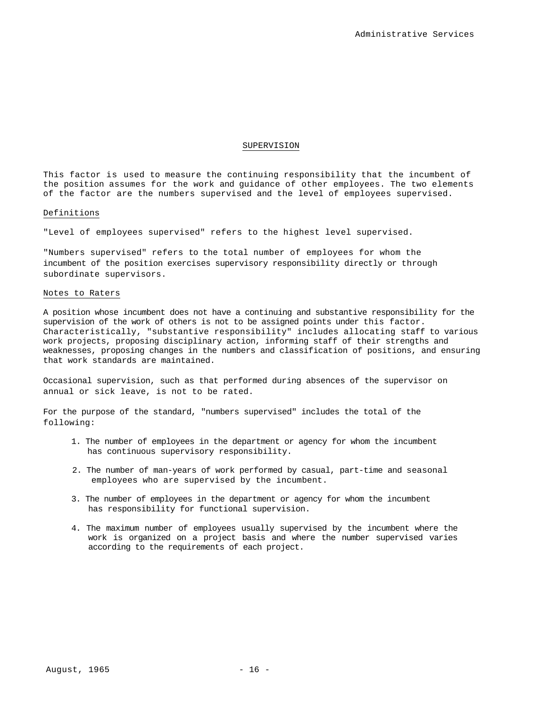#### SUPERVISION

This factor is used to measure the continuing responsibility that the incumbent of the position assumes for the work and guidance of other employees. The two elements of the factor are the numbers supervised and the level of employees supervised.

#### Definitions

"Level of employees supervised" refers to the highest level supervised.

"Numbers supervised" refers to the total number of employees for whom the incumbent of the position exercises supervisory responsibility directly or through subordinate supervisors.

#### Notes to Raters

A position whose incumbent does not have a continuing and substantive responsibility for the supervision of the work of others is not to be assigned points under this factor. Characteristically, "substantive responsibility" includes allocating staff to various work projects, proposing disciplinary action, informing staff of their strengths and weaknesses, proposing changes in the numbers and classification of positions, and ensuring that work standards are maintained.

Occasional supervision, such as that performed during absences of the supervisor on annual or sick leave, is not to be rated.

For the purpose of the standard, "numbers supervised" includes the total of the following:

- 1. The number of employees in the department or agency for whom the incumbent has continuous supervisory responsibility.
- 2. The number of man-years of work performed by casual, part-time and seasonal employees who are supervised by the incumbent.
- 3. The number of employees in the department or agency for whom the incumbent has responsibility for functional supervision.
- 4. The maximum number of employees usually supervised by the incumbent where the work is organized on a project basis and where the number supervised varies according to the requirements of each project.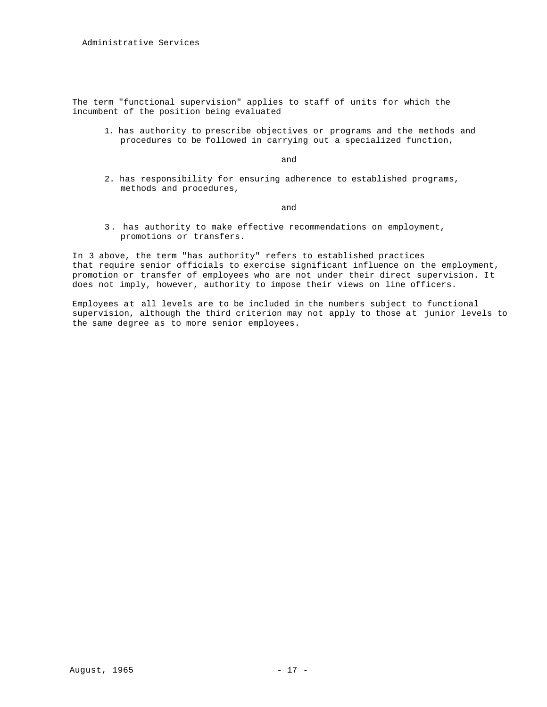The term "functional supervision" applies to staff of units for which the incumbent of the position being evaluated

1. has authority to prescribe objectives or programs and the methods and procedures to be followed in carrying out a specialized function,

and

2. has responsibility for ensuring adherence to established programs, methods and procedures,

and

3 . has authority to make effective recommendations on employment, promotions or transfers.

In 3 above, the term "has authority" refers to established practices that require senior officials to exercise significant influence on the employment, promotion or transfer of employees who are not under their direct supervision. It does not imply, however, authority to impose their views on line officers.

Employees at all levels are to be included in the numbers subject to functional supervision, although the third criterion may not apply to those at junior levels to the same degree as to more senior employees.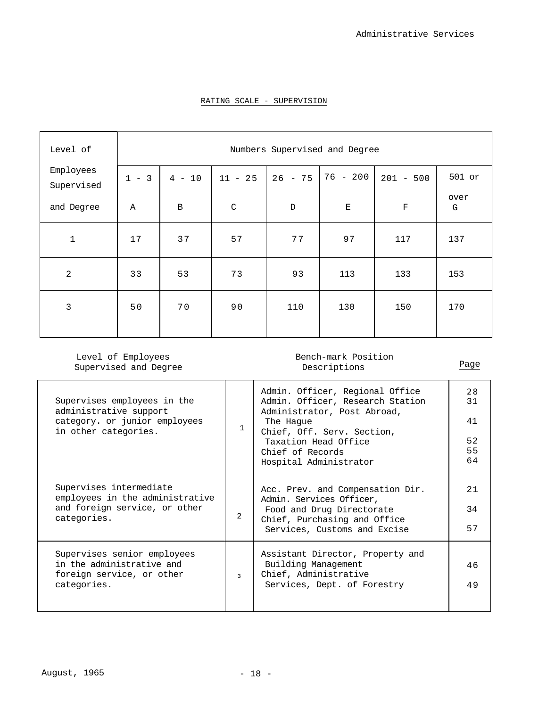| Level of                |             |              |             |             | Numbers Supervised and Degree |             |           |
|-------------------------|-------------|--------------|-------------|-------------|-------------------------------|-------------|-----------|
| Employees<br>Supervised | $1 - 3$     | $4 - 10$     | $11 - 25$   | $26 - 75$   | $76 - 200$                    | $201 - 500$ | 501 or    |
| and Degree              | $\mathbb A$ | $\, {\bf B}$ | $\mathbf C$ | $\mathbb D$ | $\mathbf E$                   | $\mathbf F$ | over<br>G |
| $\mathbf{1}$            | 17          | 37           | 57          | 77          | 97                            | 117         | 137       |
| $\overline{2}$          | 33          | 53           | 73          | 93          | 113                           | 133         | 153       |
| 3                       | 50          | 70           | 90          | 110         | 130                           | 150         | 170       |

### RATING SCALE - SUPERVISION

Level of Employees Supervised and Degree

### Bench-mark Position Descriptions Page

 $\begin{array}{c} \hline \end{array}$ 

| Supervises employees in the<br>administrative support<br>category. or junior employees<br>in other categories. | 1             | Admin. Officer, Regional Office<br>Admin. Officer, Research Station<br>Administrator, Post Abroad,<br>The Haque<br>Chief, Off. Serv. Section,<br>Taxation Head Office<br>Chief of Records<br>Hospital Administrator | 28<br>31<br>41<br>52<br>55<br>64 |
|----------------------------------------------------------------------------------------------------------------|---------------|---------------------------------------------------------------------------------------------------------------------------------------------------------------------------------------------------------------------|----------------------------------|
| Supervises intermediate<br>employees in the administrative<br>and foreign service, or other<br>categories.     | $\mathcal{L}$ | Acc. Prev. and Compensation Dir.<br>Admin. Services Officer,<br>Food and Drug Directorate<br>Chief, Purchasing and Office<br>Services, Customs and Excise                                                           | 21<br>34<br>57                   |
| Supervises senior employees<br>in the administrative and<br>foreign service, or other<br>categories.           | $\mathbf{z}$  | Assistant Director, Property and<br>Building Management<br>Chief, Administrative<br>Services, Dept. of Forestry                                                                                                     | 46<br>49                         |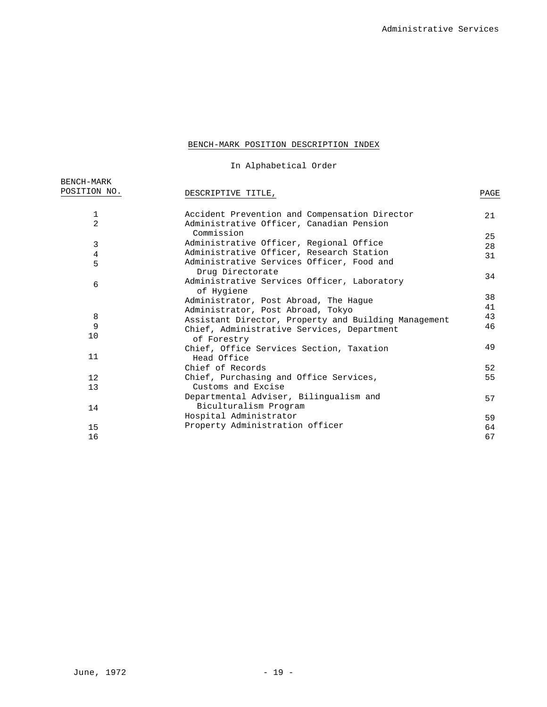## BENCH-MARK POSITION DESCRIPTION INDEX

In Alphabetical Order

| BENCH-MARK     |                                                               |          |
|----------------|---------------------------------------------------------------|----------|
| POSITION NO.   | DESCRIPTIVE TITLE,                                            | PAGE     |
| $\mathbf{1}$   | Accident Prevention and Compensation Director                 | 21       |
| $\overline{a}$ | Administrative Officer, Canadian Pension<br>Commission        |          |
| 3              | Administrative Officer, Regional Office                       | 25       |
| 4              | Administrative Officer, Research Station                      | 28<br>31 |
| 5              | Administrative Services Officer, Food and<br>Drug Directorate |          |
| 6              | Administrative Services Officer, Laboratory<br>of Hygiene     | 34       |
|                | Administrator, Post Abroad, The Hague                         | 38<br>41 |
| 8              | Administrator, Post Abroad, Tokyo                             | 43       |
| 9              | Assistant Director, Property and Building Management          | 46       |
| 10             | Chief, Administrative Services, Department<br>of Forestry     |          |
| 11             | Chief, Office Services Section, Taxation<br>Head Office       | 49       |
|                | Chief of Records                                              | 52       |
| 12             | Chief, Purchasing and Office Services,                        | 55       |
| 13             | Customs and Excise                                            |          |
|                | Departmental Adviser, Bilingualism and                        | 57       |
| 14             | Biculturalism Program                                         |          |
|                | Hospital Administrator                                        | 59       |
| 15             | Property Administration officer                               | 64       |
| 16             |                                                               | 67       |
|                |                                                               |          |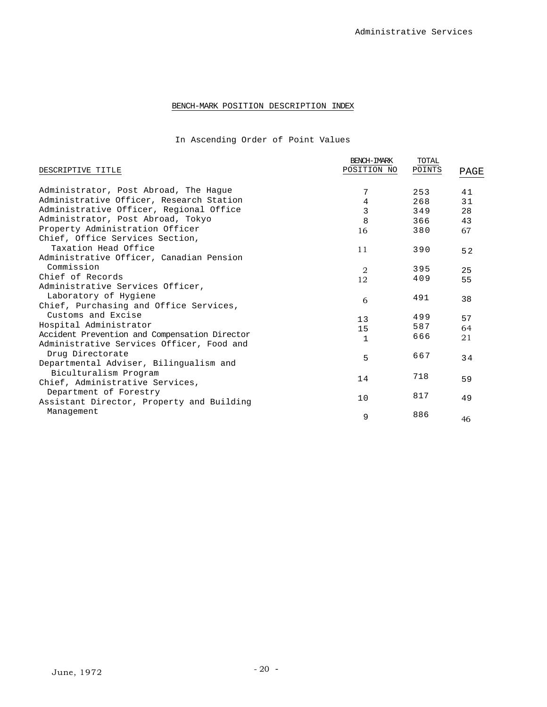## BENCH-MARK POSITION DESCRIPTION INDEX

In Ascending Order of Point Values

|                                               | BENCH-IMARK    | TOTAL  |      |
|-----------------------------------------------|----------------|--------|------|
| DESCRIPTIVE TITLE                             | POSITION NO    | POINTS | PAGE |
| Administrator, Post Abroad, The Haque         | 7              | 253    | 41   |
| Administrative Officer, Research Station      | 4              | 268    | 31   |
| Administrative Officer, Regional Office       | 3              | 349    | 28   |
| Administrator, Post Abroad, Tokyo             | 8              | 366    | 43   |
| Property Administration Officer               | 16             | 380    | 67   |
| Chief, Office Services Section,               |                |        |      |
| Taxation Head Office                          | 11             | 390    | 52   |
| Administrative Officer, Canadian Pension      |                |        |      |
| Commission                                    | $\overline{2}$ | 395    | 25   |
| Chief of Records                              | 12             | 409    | 55   |
| Administrative Services Officer,              |                |        |      |
| Laboratory of Hygiene                         | 6              | 491    | 38   |
| Chief, Purchasing and Office Services,        |                |        |      |
| Customs and Excise                            | 13             | 499    | 57   |
| Hospital Administrator                        | 15             | 587    | 64   |
| Accident Prevention and Compensation Director | $\mathbf{1}$   | 666    | 21   |
| Administrative Services Officer, Food and     |                |        |      |
| Drug Directorate                              | 5              | 667    | 34   |
| Departmental Adviser, Bilingualism and        |                |        |      |
| Biculturalism Program                         | 14             | 718    | 59   |
| Chief, Administrative Services,               |                |        |      |
| Department of Forestry                        | 10             | 817    | 49   |
| Assistant Director, Property and Building     |                |        |      |
| Management                                    | 9              | 886    | 46   |
|                                               |                |        |      |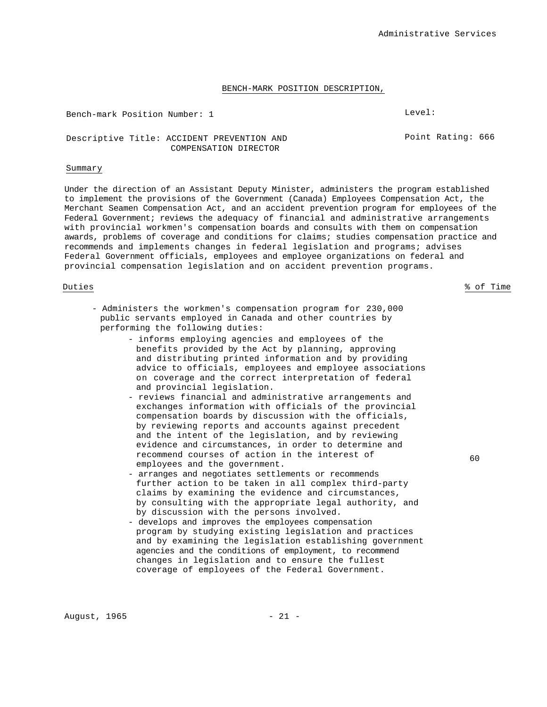#### BENCH-MARK POSITION DESCRIPTION,

Bench-mark Position Number: 1 Level:

Point Rating: 666

### Descriptive Title: ACCIDENT PREVENTION AND COMPENSATION DIRECTOR

#### Summary

Under the direction of an Assistant Deputy Minister, administers the program established to implement the provisions of the Government (Canada) Employees Compensation Act, the Merchant Seamen Compensation Act, and an accident prevention program for employees of the Federal Government; reviews the adequacy of financial and administrative arrangements with provincial workmen's compensation boards and consults with them on compensation awards, problems of coverage and conditions for claims; studies compensation practice and recommends and implements changes in federal legislation and programs; advises Federal Government officials, employees and employee organizations on federal and provincial compensation legislation and on accident prevention programs.

- Administers the workmen's compensation program for 230,000 public servants employed in Canada and other countries by performing the following duties:
	- informs employing agencies and employees of the benefits provided by the Act by planning, approving and distributing printed information and by providing advice to officials, employees and employee associations on coverage and the correct interpretation of federal and provincial legislation.
	- reviews financial and administrative arrangements and exchanges information with officials of the provincial compensation boards by discussion with the officials, by reviewing reports and accounts against precedent and the intent of the legislation, and by reviewing evidence and circumstances, in order to determine and recommend courses of action in the interest of employees and the government.
	- arranges and negotiates settlements or recommends further action to be taken in all complex third-party claims by examining the evidence and circumstances, by consulting with the appropriate legal authority, and by discussion with the persons involved.
	- develops and improves the employees compensation program by studying existing legislation and practices and by examining the legislation establishing government agencies and the conditions of employment, to recommend changes in legislation and to ensure the fullest coverage of employees of the Federal Government.

60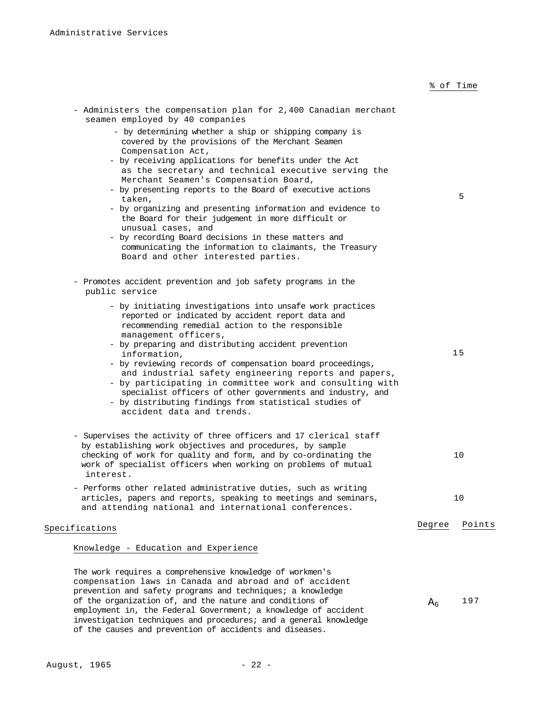### % of Time

| - Administers the compensation plan for 2,400 Canadian merchant<br>seamen employed by 40 companies                                                                                                                                                                                                                                  |                |        |
|-------------------------------------------------------------------------------------------------------------------------------------------------------------------------------------------------------------------------------------------------------------------------------------------------------------------------------------|----------------|--------|
| - by determining whether a ship or shipping company is<br>covered by the provisions of the Merchant Seamen<br>Compensation Act,                                                                                                                                                                                                     |                |        |
| - by receiving applications for benefits under the Act<br>as the secretary and technical executive serving the<br>Merchant Seamen's Compensation Board,                                                                                                                                                                             |                |        |
| - by presenting reports to the Board of executive actions<br>taken,<br>- by organizing and presenting information and evidence to                                                                                                                                                                                                   |                | 5      |
| the Board for their judgement in more difficult or<br>unusual cases, and                                                                                                                                                                                                                                                            |                |        |
| - by recording Board decisions in these matters and<br>communicating the information to claimants, the Treasury<br>Board and other interested parties.                                                                                                                                                                              |                |        |
| - Promotes accident prevention and job safety programs in the<br>public service                                                                                                                                                                                                                                                     |                |        |
| - by initiating investigations into unsafe work practices<br>reported or indicated by accident report data and<br>recommending remedial action to the responsible                                                                                                                                                                   |                |        |
| management officers,<br>- by preparing and distributing accident prevention<br>information,                                                                                                                                                                                                                                         |                | 15     |
| - by reviewing records of compensation board proceedings,<br>and industrial safety engineering reports and papers,<br>- by participating in committee work and consulting with<br>specialist officers of other governments and industry, and<br>- by distributing findings from statistical studies of<br>accident data and trends. |                |        |
| - Supervises the activity of three officers and 17 clerical staff<br>by establishing work objectives and procedures, by sample                                                                                                                                                                                                      |                |        |
| checking of work for quality and form, and by co-ordinating the<br>work of specialist officers when working on problems of mutual<br>interest.                                                                                                                                                                                      |                | 10     |
| - Performs other related administrative duties, such as writing<br>articles, papers and reports, speaking to meetings and seminars,<br>and attending national and international conferences.                                                                                                                                        |                | 10     |
| Specifications                                                                                                                                                                                                                                                                                                                      | Degree         | Points |
| Knowledge - Education and Experience                                                                                                                                                                                                                                                                                                |                |        |
| The work requires a comprehensive knowledge of workmen's<br>compensation laws in Canada and abroad and of accident                                                                                                                                                                                                                  |                |        |
| prevention and safety programs and techniques; a knowledge<br>of the organization of, and the nature and conditions of                                                                                                                                                                                                              | A <sub>6</sub> | 197    |
| employment in, the Federal Government; a knowledge of accident                                                                                                                                                                                                                                                                      |                |        |

investigation techniques and procedures; and a general knowledge

of the causes and prevention of accidents and diseases.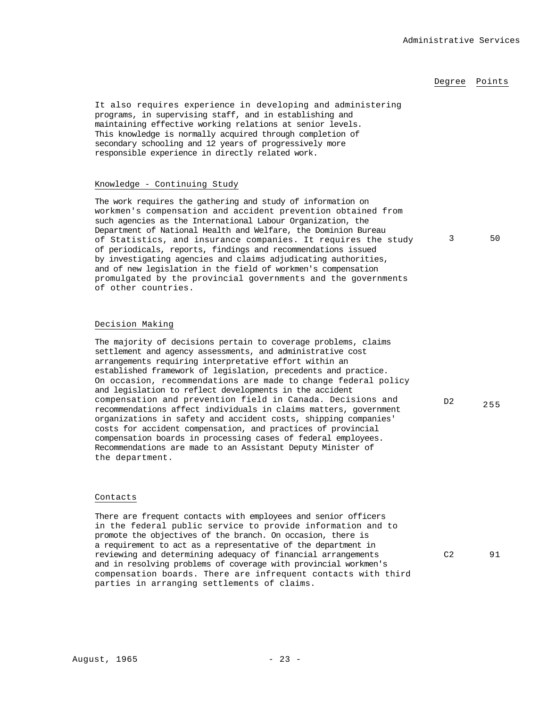### Degree Points

It also requires experience in developing and administering programs, in supervising staff, and in establishing and maintaining effective working relations at senior levels. This knowledge is normally acquired through completion of secondary schooling and 12 years of progressively more responsible experience in directly related work.

#### Knowledge - Continuing Study

The work requires the gathering and study of information on workmen's compensation and accident prevention obtained from such agencies as the International Labour Organization, the Department of National Health and Welfare, the Dominion Bureau of Statistics, and insurance companies. It requires the study of periodicals, reports, findings and recommendations issued by investigating agencies and claims adjudicating authorities, and of new legislation in the field of workmen's compensation promulgated by the provincial governments and the governments of other countries.

### Decision Making

The majority of decisions pertain to coverage problems, claims settlement and agency assessments, and administrative cost arrangements requiring interpretative effort within an established framework of legislation, precedents and practice. On occasion, recommendations are made to change federal policy and legislation to reflect developments in the accident compensation and prevention field in Canada. Decisions and recommendations affect individuals in claims matters, government organizations in safety and accident costs, shipping companies' costs for accident compensation, and practices of provincial compensation boards in processing cases of federal employees. Recommendations are made to an Assistant Deputy Minister of the department.

#### Contacts

There are frequent contacts with employees and senior officers in the federal public service to provide information and to promote the objectives of the branch. On occasion, there is a requirement to act as a representative of the department in reviewing and determining adequacy of financial arrangements and in resolving problems of coverage with provincial workmen's compensation boards. There are infrequent contacts with third parties in arranging settlements of claims.

3 50

D2 255

C2 91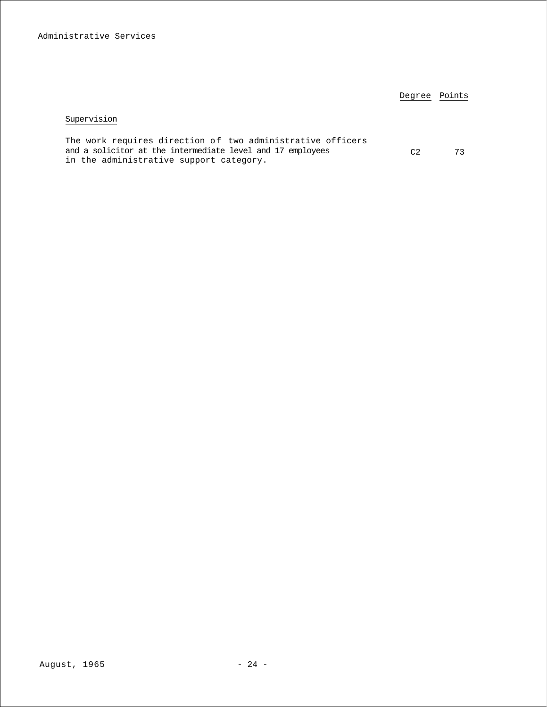|                                                                                                                                                                     | Degree Points |  |
|---------------------------------------------------------------------------------------------------------------------------------------------------------------------|---------------|--|
| Supervision                                                                                                                                                         |               |  |
| The work requires direction of two administrative officers<br>and a solicitor at the intermediate level and 17 employees<br>in the administrative support category. | C2            |  |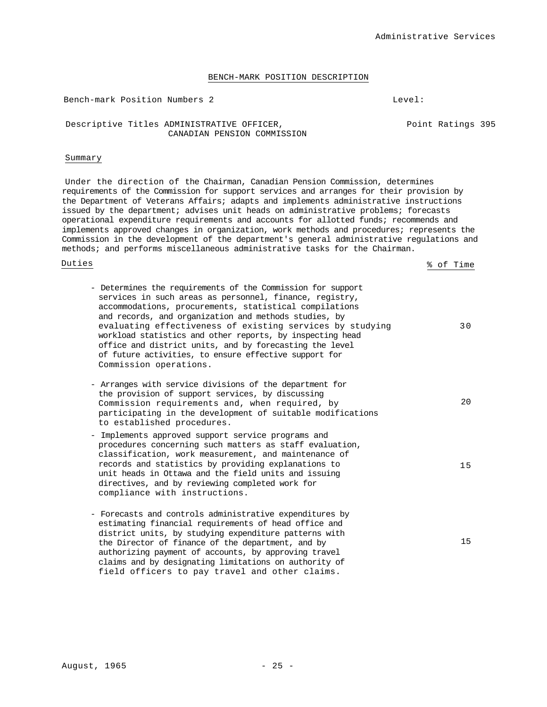#### BENCH-MARK POSITION DESCRIPTION

Bench-mark Position Numbers 2 Level:

Descriptive Titles ADMINISTRATIVE OFFICER, The Solution of Point Ratings 395 CANADIAN PENSION COMMISSION

#### Summary

Under the direction of the Chairman, Canadian Pension Commission, determines requirements of the Commission for support services and arranges for their provision by the Department of Veterans Affairs; adapts and implements administrative instructions issued by the department; advises unit heads on administrative problems; forecasts operational expenditure requirements and accounts for allotted funds; recommends and implements approved changes in organization, work methods and procedures; represents the Commission in the development of the department's general administrative regulations and methods; and performs miscellaneous administrative tasks for the Chairman.

Duties % of Time

| - Determines the requirements of the Commission for support<br>services in such areas as personnel, finance, registry,<br>accommodations, procurements, statistical compilations<br>and records, and organization and methods studies, by<br>evaluating effectiveness of existing services by studying<br>workload statistics and other reports, by inspecting head<br>office and district units, and by forecasting the level<br>of future activities, to ensure effective support for<br>Commission operations. | 3 O |
|-------------------------------------------------------------------------------------------------------------------------------------------------------------------------------------------------------------------------------------------------------------------------------------------------------------------------------------------------------------------------------------------------------------------------------------------------------------------------------------------------------------------|-----|
| - Arranges with service divisions of the department for<br>the provision of support services, by discussing<br>Commission requirements and, when required, by<br>participating in the development of suitable modifications<br>to established procedures.                                                                                                                                                                                                                                                         | 20  |
| - Implements approved support service programs and<br>procedures concerning such matters as staff evaluation,<br>classification, work measurement, and maintenance of<br>records and statistics by providing explanations to<br>unit heads in Ottawa and the field units and issuing<br>directives, and by reviewing completed work for<br>compliance with instructions.                                                                                                                                          | 15  |
| - Forecasts and controls administrative expenditures by<br>estimating financial requirements of head office and<br>district units, by studying expenditure patterns with<br>the Director of finance of the department, and by<br>authorizing payment of accounts, by approving travel<br>claims and by designating limitations on authority of<br>field officers to pay travel and other claims.                                                                                                                  | 15  |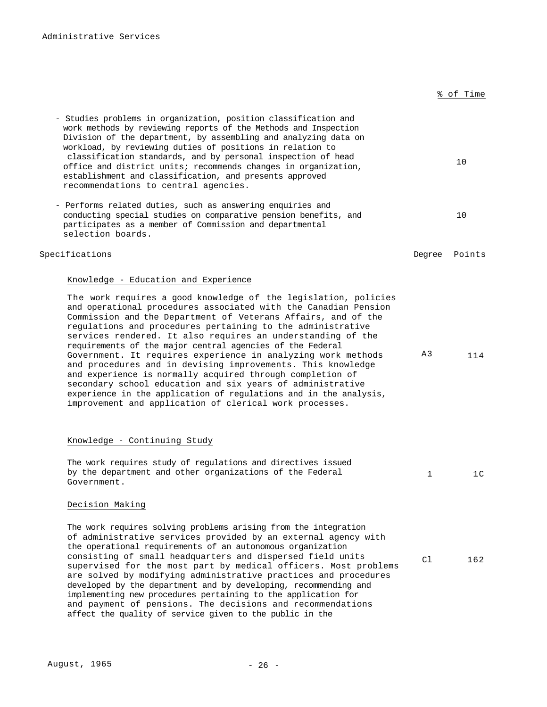| - Studies problems in organization, position classification and<br>work methods by reviewing reports of the Methods and Inspection<br>Division of the department, by assembling and analyzing data on<br>workload, by reviewing duties of positions in relation to<br>classification standards, and by personal inspection of head<br>office and district units; recommends changes in organization,<br>establishment and classification, and presents approved<br>recommendations to central agencies.                                                                                                                                                                                                                                                                                                                          |              | 10             |
|----------------------------------------------------------------------------------------------------------------------------------------------------------------------------------------------------------------------------------------------------------------------------------------------------------------------------------------------------------------------------------------------------------------------------------------------------------------------------------------------------------------------------------------------------------------------------------------------------------------------------------------------------------------------------------------------------------------------------------------------------------------------------------------------------------------------------------|--------------|----------------|
| - Performs related duties, such as answering enquiries and<br>conducting special studies on comparative pension benefits, and<br>participates as a member of Commission and departmental<br>selection boards.                                                                                                                                                                                                                                                                                                                                                                                                                                                                                                                                                                                                                    |              | 10             |
| Specifications                                                                                                                                                                                                                                                                                                                                                                                                                                                                                                                                                                                                                                                                                                                                                                                                                   | Degree       | Points         |
| Knowledge - Education and Experience<br>The work requires a good knowledge of the legislation, policies<br>and operational procedures associated with the Canadian Pension<br>Commission and the Department of Veterans Affairs, and of the<br>regulations and procedures pertaining to the administrative<br>services rendered. It also requires an understanding of the<br>requirements of the major central agencies of the Federal<br>Government. It requires experience in analyzing work methods<br>and procedures and in devising improvements. This knowledge<br>and experience is normally acquired through completion of<br>secondary school education and six years of administrative<br>experience in the application of regulations and in the analysis,<br>improvement and application of clerical work processes. | A3           | 114            |
| Knowledge - Continuing Study<br>The work requires study of requlations and directives issued<br>by the department and other organizations of the Federal<br>Government.                                                                                                                                                                                                                                                                                                                                                                                                                                                                                                                                                                                                                                                          | $\mathbf{1}$ | 1 <sup>C</sup> |
| Decision Making<br>The work requires solving problems arising from the integration<br>of administrative services provided by an external agency with<br>the operational requirements of an autonomous organization<br>consisting of small headquarters and dispersed field units<br>supervised for the most part by medical officers. Most problems<br>are solved by modifying administrative practices and procedures<br>developed by the department and by developing, recommending and<br>implementing new procedures pertaining to the application for<br>and payment of pensions. The decisions and recommendations<br>affect the quality of service given to the public in the                                                                                                                                             | C1           | 162            |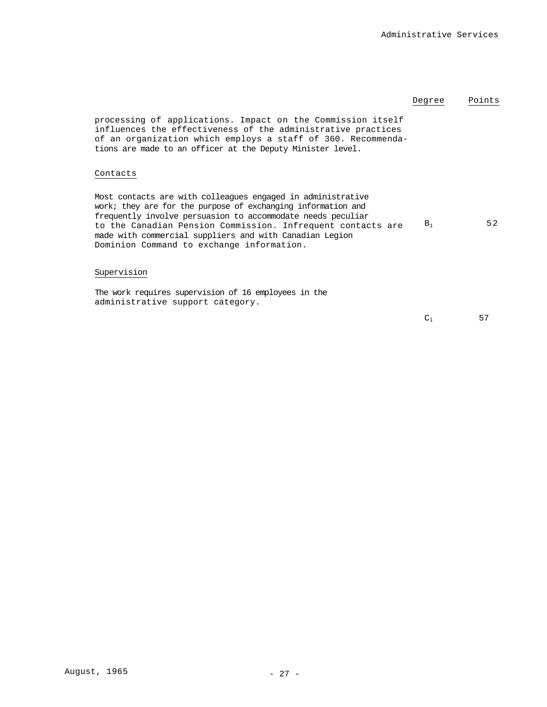|                                                                                                                                                                                                                                                                                                                                                                   | Degree | Points |
|-------------------------------------------------------------------------------------------------------------------------------------------------------------------------------------------------------------------------------------------------------------------------------------------------------------------------------------------------------------------|--------|--------|
| processing of applications. Impact on the Commission itself<br>influences the effectiveness of the administrative practices<br>of an organization which employs a staff of 360. Recommenda-<br>tions are made to an officer at the Deputy Minister level.                                                                                                         |        |        |
| Contacts                                                                                                                                                                                                                                                                                                                                                          |        |        |
| Most contacts are with colleagues engaged in administrative<br>work; they are for the purpose of exchanging information and<br>frequently involve persuasion to accommodate needs peculiar<br>to the Canadian Pension Commission. Infrequent contacts are<br>made with commercial suppliers and with Canadian Legion<br>Dominion Command to exchange information. | $B_1$  | 52     |
| Supervision                                                                                                                                                                                                                                                                                                                                                       |        |        |
| The work requires supervision of 16 employees in the<br>administrative support category.                                                                                                                                                                                                                                                                          |        |        |
|                                                                                                                                                                                                                                                                                                                                                                   | $\sim$ | ᆮ      |

 $C_1$  57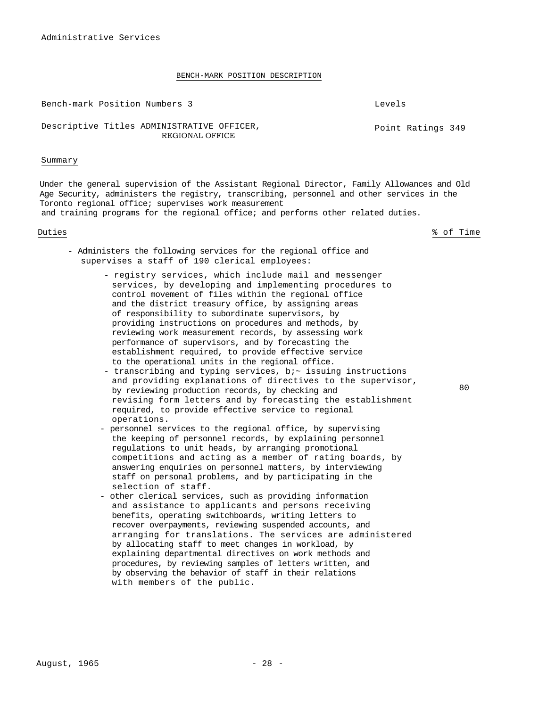#### BENCH-MARK POSITION DESCRIPTION

Bench-mark Position Numbers 3 Levels

Point Ratings 349

### Descriptive Titles ADMINISTRATIVE OFFICER, REGIONAL OFFICE

#### Summary

Under the general supervision of the Assistant Regional Director, Family Allowances and Old Age Security, administers the registry, transcribing, personnel and other services in the Toronto regional office; supervises work measurement and training programs for the regional office; and performs other related duties.

Duties % of Time

- Administers the following services for the regional office and supervises a staff of 190 clerical employees:
	- registry services, which include mail and messenger services, by developing and implementing procedures to control movement of files within the regional office and the district treasury office, by assigning areas of responsibility to subordinate supervisors, by providing instructions on procedures and methods, by reviewing work measurement records, by assessing work performance of supervisors, and by forecasting the establishment required, to provide effective service to the operational units in the regional office.
	- transcribing and typing services, bi~ issuing instructions and providing explanations of directives to the supervisor, by reviewing production records, by checking and revising form letters and by forecasting the establishment required, to provide effective service to regional operations.
	- personnel services to the regional office, by supervising the keeping of personnel records, by explaining personnel regulations to unit heads, by arranging promotional competitions and acting as a member of rating boards, by answering enquiries on personnel matters, by interviewing staff on personal problems, and by participating in the selection of staff.
	- other clerical services, such as providing information and assistance to applicants and persons receiving benefits, operating switchboards, writing letters to recover overpayments, reviewing suspended accounts, and arranging for translations. The services are administered by allocating staff to meet changes in workload, by explaining departmental directives on work methods and procedures, by reviewing samples of letters written, and by observing the behavior of staff in their relations with members of the public.

 $80$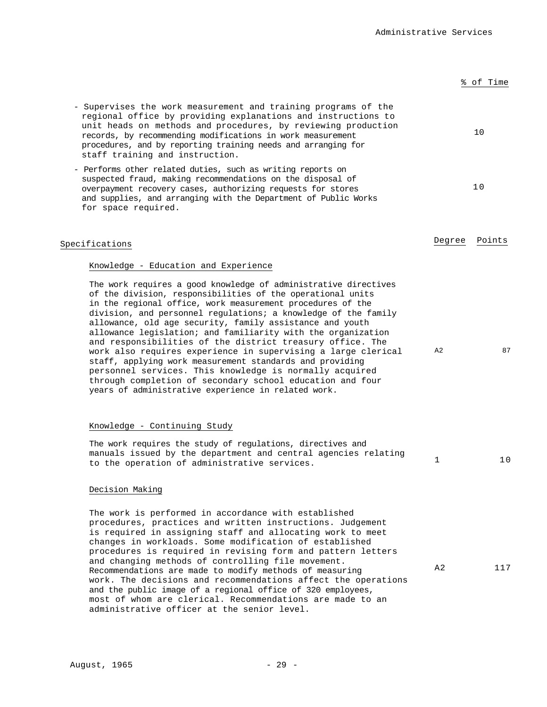% of Time

## - Supervises the work measurement and training programs of the regional office by providing explanations and instructions to unit heads on methods and procedures, by reviewing production records, by recommending modifications in work measurement procedures, and by reporting training needs and arranging for staff training and instruction. 10 - Performs other related duties, such as writing reports on suspected fraud, making recommendations on the disposal of overpayment recovery cases, authorizing requests for stores and supplies, and arranging with the Department of Public Works for space required. 10 Specifications **Degree** Points **Degree** Points Knowledge - Education and Experience The work requires a good knowledge of administrative directives of the division, responsibilities of the operational units in the regional office, work measurement procedures of the division, and personnel regulations; a knowledge of the family allowance, old age security, family assistance and youth allowance legislation; and familiarity with the organization and responsibilities of the district treasury office. The work also requires experience in supervising a large clerical staff, applying work measurement standards and providing personnel services. This knowledge is normally acquired through completion of secondary school education and four years of administrative experience in related work. A2 87 Knowledge - Continuing Study

The work requires the study of regulations, directives and manuals issued by the department and central agencies relating to the operation of administrative services.  $1$  10

#### Decision Making

The work is performed in accordance with established procedures, practices and written instructions. Judgement is required in assigning staff and allocating work to meet changes in workloads. Some modification of established procedures is required in revising form and pattern letters and changing methods of controlling file movement. Recommendations are made to modify methods of measuring work. The decisions and recommendations affect the operations and the public image of a regional office of 320 employees, most of whom are clerical. Recommendations are made to an administrative officer at the senior level. A2 117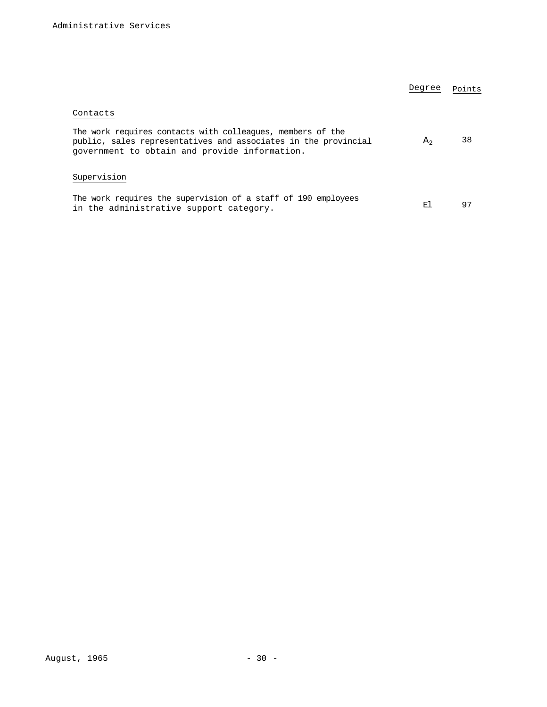|                                                                                                                                                                               | Degree         | Points |
|-------------------------------------------------------------------------------------------------------------------------------------------------------------------------------|----------------|--------|
| Contacts                                                                                                                                                                      |                |        |
| The work requires contacts with colleagues, members of the<br>public, sales representatives and associates in the provincial<br>government to obtain and provide information. | A <sub>2</sub> | 38     |
| Supervision                                                                                                                                                                   |                |        |
| The work requires the supervision of a staff of 190 employees<br>in the administrative support category.                                                                      | F.I            | 97     |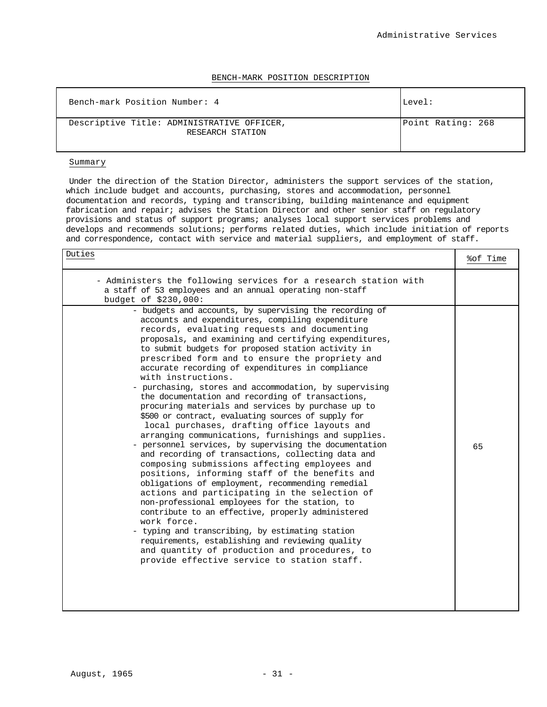#### BENCH-MARK POSITION DESCRIPTION

| Bench-mark Position Number: 4                                  | Level:            |
|----------------------------------------------------------------|-------------------|
| Descriptive Title: ADMINISTRATIVE OFFICER,<br>RESEARCH STATION | Point Rating: 268 |

#### Summary

Under the direction of the Station Director, administers the support services of the station, which include budget and accounts, purchasing, stores and accommodation, personnel documentation and records, typing and transcribing, building maintenance and equipment fabrication and repair; advises the Station Director and other senior staff on regulatory provisions and status of support programs; analyses local support services problems and develops and recommends solutions; performs related duties, which include initiation of reports and correspondence, contact with service and material suppliers, and employment of staff.

<u>Duties</u> & Sof Time & Sof Time & Sof Time & Sof Time & Sof Time & Sof Time & Sof Time & Sof Time & Sof Time & Sof Time & Sof Time & Sof Time & Sof Time & Sof Time & Sof Time & Sof Time & Sof Time & Sof Time & Sof Time & So

| - Administers the following services for a research station with<br>a staff of 53 employees and an annual operating non-staff<br>budget of \$230,000:                                                                                                                                                                                                                                                                                                                                                                                                                                                                                                                                                                                                                                                                                                                                                                                                                                                                                                                                                                                                                                                                                                                                                                                                                                           |    |
|-------------------------------------------------------------------------------------------------------------------------------------------------------------------------------------------------------------------------------------------------------------------------------------------------------------------------------------------------------------------------------------------------------------------------------------------------------------------------------------------------------------------------------------------------------------------------------------------------------------------------------------------------------------------------------------------------------------------------------------------------------------------------------------------------------------------------------------------------------------------------------------------------------------------------------------------------------------------------------------------------------------------------------------------------------------------------------------------------------------------------------------------------------------------------------------------------------------------------------------------------------------------------------------------------------------------------------------------------------------------------------------------------|----|
| - budgets and accounts, by supervising the recording of<br>accounts and expenditures, compiling expenditure<br>records, evaluating requests and documenting<br>proposals, and examining and certifying expenditures,<br>to submit budgets for proposed station activity in<br>prescribed form and to ensure the propriety and<br>accurate recording of expenditures in compliance<br>with instructions.<br>- purchasing, stores and accommodation, by supervising<br>the documentation and recording of transactions,<br>procuring materials and services by purchase up to<br>\$500 or contract, evaluating sources of supply for<br>local purchases, drafting office layouts and<br>arranging communications, furnishings and supplies.<br>- personnel services, by supervising the documentation<br>and recording of transactions, collecting data and<br>composing submissions affecting employees and<br>positions, informing staff of the benefits and<br>obligations of employment, recommending remedial<br>actions and participating in the selection of<br>non-professional employees for the station, to<br>contribute to an effective, properly administered<br>work force.<br>- typing and transcribing, by estimating station<br>requirements, establishing and reviewing quality<br>and quantity of production and procedures, to<br>provide effective service to station staff. | 65 |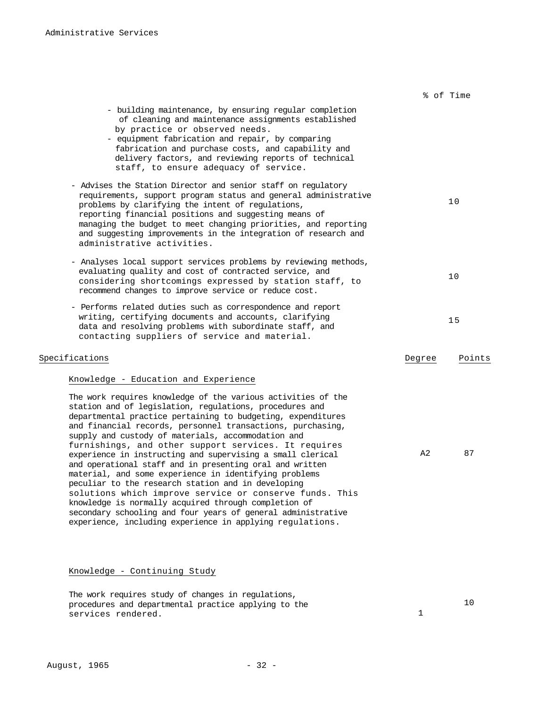|                                                                                                                                                                                                                                                                                                                                                                                                                                                                                                                                                                                                                                                                                                                                                                                                                                                             |        | % of Time |
|-------------------------------------------------------------------------------------------------------------------------------------------------------------------------------------------------------------------------------------------------------------------------------------------------------------------------------------------------------------------------------------------------------------------------------------------------------------------------------------------------------------------------------------------------------------------------------------------------------------------------------------------------------------------------------------------------------------------------------------------------------------------------------------------------------------------------------------------------------------|--------|-----------|
| - building maintenance, by ensuring regular completion<br>of cleaning and maintenance assignments established<br>by practice or observed needs.<br>- equipment fabrication and repair, by comparing<br>fabrication and purchase costs, and capability and<br>delivery factors, and reviewing reports of technical<br>staff, to ensure adequacy of service.                                                                                                                                                                                                                                                                                                                                                                                                                                                                                                  |        |           |
| - Advises the Station Director and senior staff on regulatory<br>requirements, support program status and general administrative<br>problems by clarifying the intent of regulations,<br>reporting financial positions and suggesting means of<br>managing the budget to meet changing priorities, and reporting<br>and suggesting improvements in the integration of research and<br>administrative activities.                                                                                                                                                                                                                                                                                                                                                                                                                                            |        | 10        |
| - Analyses local support services problems by reviewing methods,<br>evaluating quality and cost of contracted service, and<br>considering shortcomings expressed by station staff, to<br>recommend changes to improve service or reduce cost.                                                                                                                                                                                                                                                                                                                                                                                                                                                                                                                                                                                                               |        | 10        |
| - Performs related duties such as correspondence and report<br>writing, certifying documents and accounts, clarifying<br>data and resolving problems with subordinate staff, and<br>contacting suppliers of service and material.                                                                                                                                                                                                                                                                                                                                                                                                                                                                                                                                                                                                                           |        | 15        |
| Specifications                                                                                                                                                                                                                                                                                                                                                                                                                                                                                                                                                                                                                                                                                                                                                                                                                                              | Degree | Points    |
| Knowledge - Education and Experience                                                                                                                                                                                                                                                                                                                                                                                                                                                                                                                                                                                                                                                                                                                                                                                                                        |        |           |
| The work requires knowledge of the various activities of the<br>station and of legislation, regulations, procedures and<br>departmental practice pertaining to budgeting, expenditures<br>and financial records, personnel transactions, purchasing,<br>supply and custody of materials, accommodation and<br>furnishings, and other support services. It requires<br>experience in instructing and supervising a small clerical<br>and operational staff and in presenting oral and written<br>material, and some experience in identifying problems<br>peculiar to the research station and in developing<br>solutions which improve service or conserve funds. This<br>knowledge is normally acquired through completion of<br>secondary schooling and four years of general administrative<br>experience, including experience in applying regulations. | A2     | 87        |
| Knowledge - Continuing Study                                                                                                                                                                                                                                                                                                                                                                                                                                                                                                                                                                                                                                                                                                                                                                                                                                |        |           |

The work requires study of changes in regulations, procedures and departmental practice applying to the services rendered. 1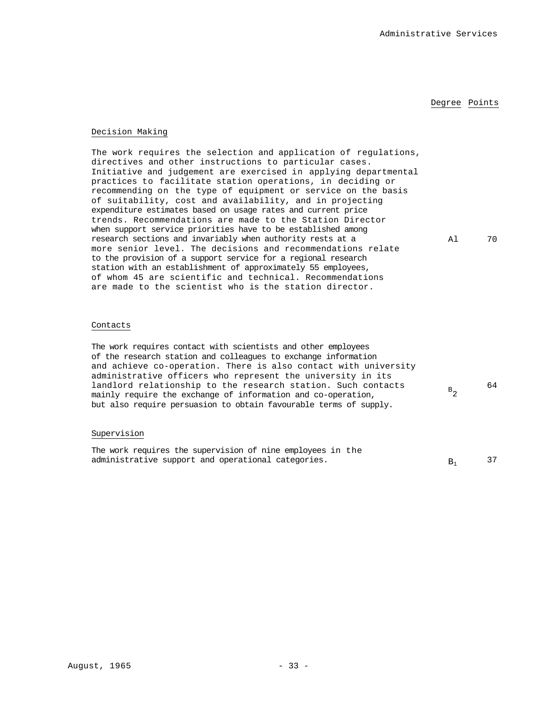### Degree Points

 $B_{2}$ 

64

# Decision Making

The work requires the selection and application of regulations, directives and other instructions to particular cases. Initiative and judgement are exercised in applying departmental practices to facilitate station operations, in deciding or recommending on the type of equipment or service on the basis of suitability, cost and availability, and in projecting expenditure estimates based on usage rates and current price trends. Recommendations are made to the Station Director when support service priorities have to be established among research sections and invariably when authority rests at a more senior level. The decisions and recommendations relate to the provision of a support service for a regional research station with an establishment of approximately 55 employees, of whom 45 are scientific and technical. Recommendations are made to the scientist who is the station director. Al 70

# Contacts

The work requires contact with scientists and other employees of the research station and colleagues to exchange information and achieve co-operation. There is also contact with university administrative officers who represent the university in its landlord relationship to the research station. Such contacts mainly require the exchange of information and co-operation, but also require persuasion to obtain favourable terms of supply.

#### Supervision

| The work requires the supervision of nine employees in the |  |
|------------------------------------------------------------|--|
| administrative support and operational categories.         |  |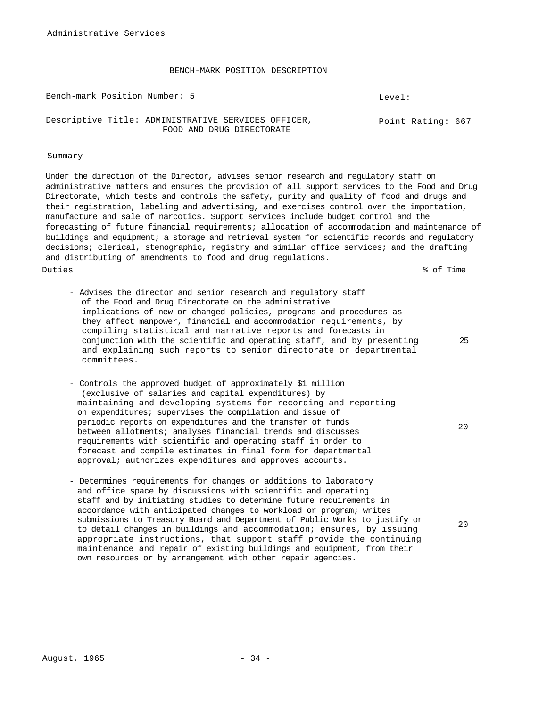Bench-mark Position Number: 5 Level:

#### Descriptive Title: ADMINISTRATIVE SERVICES OFFICER, FOOD AND DRUG DIRECTORATE Point Rating: 667

#### Summary

Under the direction of the Director, advises senior research and regulatory staff on administrative matters and ensures the provision of all support services to the Food and Drug Directorate, which tests and controls the safety, purity and quality of food and drugs and their registration, labeling and advertising, and exercises control over the importation, manufacture and sale of narcotics. Support services include budget control and the forecasting of future financial requirements; allocation of accommodation and maintenance of buildings and equipment; a storage and retrieval system for scientific records and regulatory decisions; clerical, stenographic, registry and similar office services; and the drafting and distributing of amendments to food and drug regulations.

Duties % of Time

- Advises the director and senior research and regulatory staff of the Food and Drug Directorate on the administrative implications of new or changed policies, programs and procedures as they affect manpower, financial and accommodation requirements, by compiling statistical and narrative reports and forecasts in conjunction with the scientific and operating staff, and by presenting and explaining such reports to senior directorate or departmental committees.
- Controls the approved budget of approximately \$1 million (exclusive of salaries and capital expenditures) by maintaining and developing systems for recording and reporting on expenditures; supervises the compilation and issue of periodic reports on expenditures and the transfer of funds between allotments; analyses financial trends and discusses requirements with scientific and operating staff in order to forecast and compile estimates in final form for departmental approval; authorizes expenditures and approves accounts.
- Determines requirements for changes or additions to laboratory and office space by discussions with scientific and operating staff and by initiating studies to determine future requirements in accordance with anticipated changes to workload or program; writes submissions to Treasury Board and Department of Public Works to justify or to detail changes in buildings and accommodation; ensures, by issuing appropriate instructions, that support staff provide the continuing maintenance and repair of existing buildings and equipment, from their own resources or by arrangement with other repair agencies.

20

20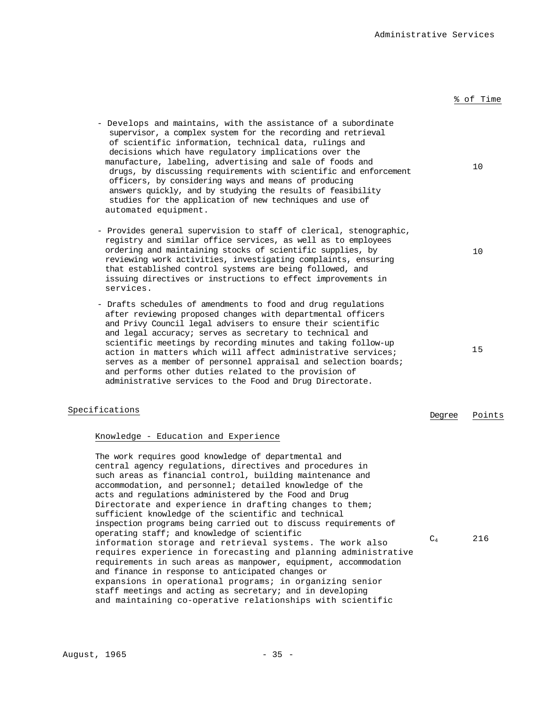| - Develops and maintains, with the assistance of a subordinate<br>supervisor, a complex system for the recording and retrieval<br>of scientific information, technical data, rulings and<br>decisions which have regulatory implications over the<br>manufacture, labeling, advertising and sale of foods and<br>drugs, by discussing requirements with scientific and enforcement<br>officers, by considering ways and means of producing<br>answers quickly, and by studying the results of feasibility<br>studies for the application of new techniques and use of<br>automated equipment.                                                                                                                                                                                                                                                                                                                                                                                           |                | 10     |
|-----------------------------------------------------------------------------------------------------------------------------------------------------------------------------------------------------------------------------------------------------------------------------------------------------------------------------------------------------------------------------------------------------------------------------------------------------------------------------------------------------------------------------------------------------------------------------------------------------------------------------------------------------------------------------------------------------------------------------------------------------------------------------------------------------------------------------------------------------------------------------------------------------------------------------------------------------------------------------------------|----------------|--------|
| - Provides general supervision to staff of clerical, stenographic,<br>registry and similar office services, as well as to employees<br>ordering and maintaining stocks of scientific supplies, by<br>reviewing work activities, investigating complaints, ensuring<br>that established control systems are being followed, and<br>issuing directives or instructions to effect improvements in<br>services.                                                                                                                                                                                                                                                                                                                                                                                                                                                                                                                                                                             |                | 10     |
| - Drafts schedules of amendments to food and drug regulations<br>after reviewing proposed changes with departmental officers<br>and Privy Council legal advisers to ensure their scientific<br>and legal accuracy; serves as secretary to technical and<br>scientific meetings by recording minutes and taking follow-up<br>action in matters which will affect administrative services;<br>serves as a member of personnel appraisal and selection boards;<br>and performs other duties related to the provision of<br>administrative services to the Food and Drug Directorate.                                                                                                                                                                                                                                                                                                                                                                                                       |                | 15     |
| Specifications                                                                                                                                                                                                                                                                                                                                                                                                                                                                                                                                                                                                                                                                                                                                                                                                                                                                                                                                                                          | Degree         | Points |
| Knowledge - Education and Experience                                                                                                                                                                                                                                                                                                                                                                                                                                                                                                                                                                                                                                                                                                                                                                                                                                                                                                                                                    |                |        |
| The work requires good knowledge of departmental and<br>central agency regulations, directives and procedures in<br>such areas as financial control, building maintenance and<br>accommodation, and personnel; detailed knowledge of the<br>acts and regulations administered by the Food and Drug<br>Directorate and experience in drafting changes to them;<br>sufficient knowledge of the scientific and technical<br>inspection programs being carried out to discuss requirements of<br>operating staff; and knowledge of scientific<br>information storage and retrieval systems. The work also<br>requires experience in forecasting and planning administrative<br>requirements in such areas as manpower, equipment, accommodation<br>and finance in response to anticipated changes or<br>expansions in operational programs; in organizing senior<br>staff meetings and acting as secretary; and in developing<br>and maintaining co-operative relationships with scientific | C <sub>4</sub> | 216    |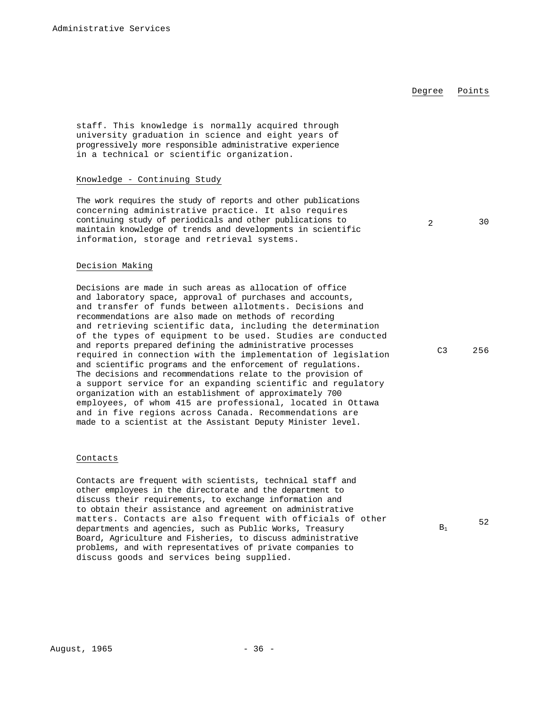### Degree Points

staff. This knowledge is normally acquired through university graduation in science and eight years of progressively more responsible administrative experience in a technical or scientific organization.

### Knowledge - Continuing Study

The work requires the study of reports and other publications concerning administrative practice. It also requires continuing study of periodicals and other publications to maintain knowledge of trends and developments in scientific information, storage and retrieval systems.

#### Decision Making

Decisions are made in such areas as allocation of office and laboratory space, approval of purchases and accounts, and transfer of funds between allotments. Decisions and recommendations are also made on methods of recording and retrieving scientific data, including the determination of the types of equipment to be used. Studies are conducted and reports prepared defining the administrative processes required in connection with the implementation of legislation and scientific programs and the enforcement of regulations. The decisions and recommendations relate to the provision of a support service for an expanding scientific and regulatory organization with an establishment of approximately 700 employees, of whom 415 are professional, located in Ottawa and in five regions across Canada. Recommendations are made to a scientist at the Assistant Deputy Minister level.

#### Contacts

Contacts are frequent with scientists, technical staff and other employees in the directorate and the department to discuss their requirements, to exchange information and to obtain their assistance and agreement on administrative matters. Contacts are also frequent with officials of other departments and agencies, such as Public Works, Treasury Board, Agriculture and Fisheries, to discuss administrative problems, and with representatives of private companies to discuss goods and services being supplied.

2 30

C3 256

52

 $B_1$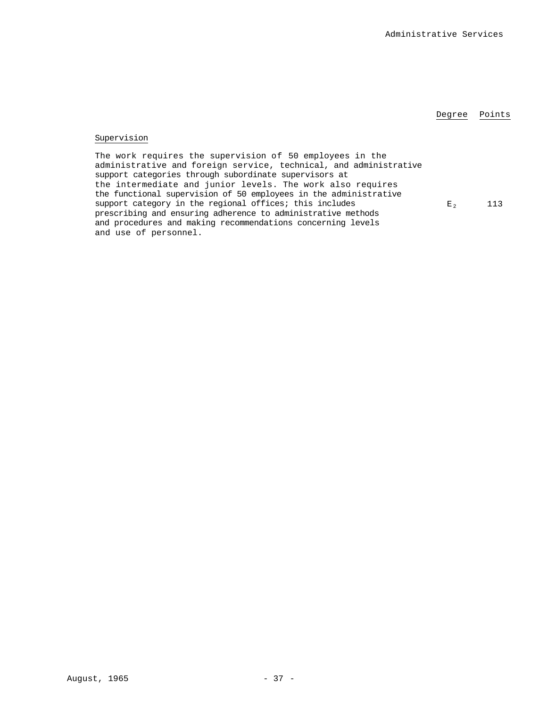### Degree Points

# Supervision

The work requires the supervision of 50 employees in the administrative and foreign service, technical, and administrative support categories through subordinate supervisors at the intermediate and junior levels. The work also requires the functional supervision of 50 employees in the administrative support category in the regional offices; this includes prescribing and ensuring adherence to administrative methods and procedures and making recommendations concerning levels and use of personnel.

 $E_2$  113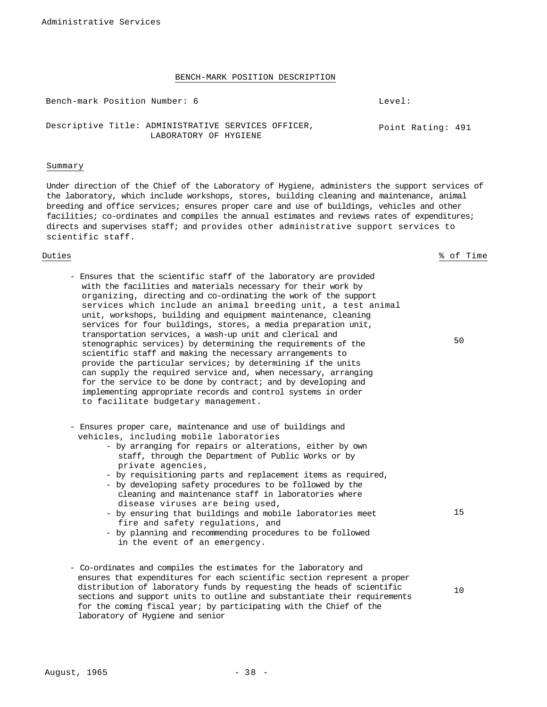Bench-mark Position Number: 6 Contract Contract Contract Contract Contract Contract Contract Contract Contract Contract Contract Contract Contract Contract Contract Contract Contract Contract Contract Contract Contract Con

Descriptive Title: ADMINISTRATIVE SERVICES OFFICER, The Point Rating: 491 LABORATORY OF HYGIENE

#### Summary

Under direction of the Chief of the Laboratory of Hygiene, administers the support services of the laboratory, which include workshops, stores, building cleaning and maintenance, animal breeding and office services; ensures proper care and use of buildings, vehicles and other facilities; co-ordinates and compiles the annual estimates and reviews rates of expenditures; directs and supervises staff; and provides other administrative support services to scientific staff.

Duties % of Time

50

15

- Ensures that the scientific staff of the laboratory are provided with the facilities and materials necessary for their work by organizing, directing and co-ordinating the work of the support services which include an animal breeding unit, a test animal unit, workshops, building and equipment maintenance, cleaning services for four buildings, stores, a media preparation unit, transportation services, a wash-up unit and clerical and stenographic services) by determining the requirements of the scientific staff and making the necessary arrangements to provide the particular services; by determining if the units can supply the required service and, when necessary, arranging for the service to be done by contract; and by developing and implementing appropriate records and control systems in order to facilitate budgetary management.
- Ensures proper care, maintenance and use of buildings and vehicles, including mobile laboratories
	- by arranging for repairs or alterations, either by own staff, through the Department of Public Works or by private agencies,
	- by requisitioning parts and replacement items as required,
	- by developing safety procedures to be followed by the cleaning and maintenance staff in laboratories where disease viruses are being used,
	- by ensuring that buildings and mobile laboratories meet fire and safety regulations, and
	- by planning and recommending procedures to be followed in the event of an emergency.
- Co-ordinates and compiles the estimates for the laboratory and ensures that expenditures for each scientific section represent a proper distribution of laboratory funds by requesting the heads of scientific sections and support units to outline and substantiate their requirements for the coming fiscal year; by participating with the Chief of the laboratory of Hygiene and senior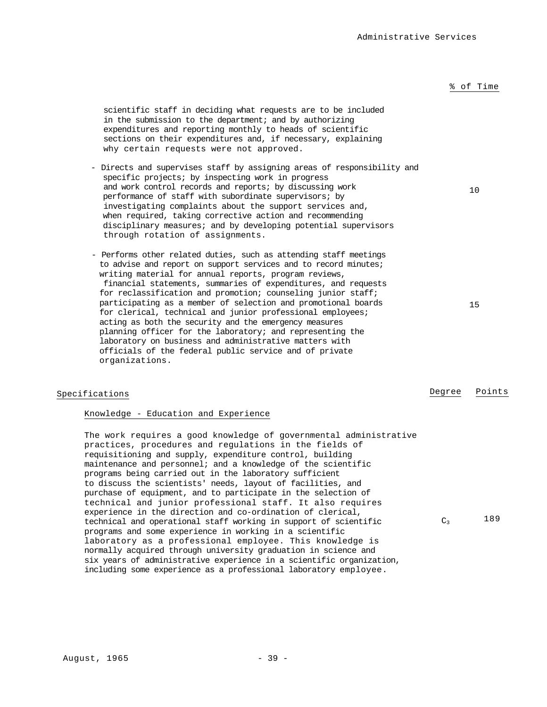10

scientific staff in deciding what requests are to be included in the submission to the department; and by authorizing expenditures and reporting monthly to heads of scientific sections on their expenditures and, if necessary, explaining why certain requests were not approved.

- Directs and supervises staff by assigning areas of responsibility and specific projects; by inspecting work in progress and work control records and reports; by discussing work performance of staff with subordinate supervisors; by investigating complaints about the support services and, when required, taking corrective action and recommending disciplinary measures; and by developing potential supervisors through rotation of assignments.
- Performs other related duties, such as attending staff meetings to advise and report on support services and to record minutes; writing material for annual reports, program reviews, financial statements, summaries of expenditures, and requests for reclassification and promotion; counseling junior staff; participating as a member of selection and promotional boards for clerical, technical and junior professional employees; acting as both the security and the emergency measures planning officer for the laboratory; and representing the laboratory on business and administrative matters with officials of the federal public service and of private organizations.

# Knowledge - Education and Experience

The work requires a good knowledge of governmental administrative practices, procedures and regulations in the fields of requisitioning and supply, expenditure control, building maintenance and personnel; and a knowledge of the scientific programs being carried out in the laboratory sufficient to discuss the scientists' needs, layout of facilities, and purchase of equipment, and to participate in the selection of technical and junior professional staff. It also requires experience in the direction and co-ordination of clerical, technical and operational staff working in support of scientific programs and some experience in working in a scientific laboratory as a professional employee. This knowledge is normally acquired through university graduation in science and six years of administrative experience in a scientific organization, including some experience as a professional laboratory employee.

## August, 1965 - 39 -

Specifications Degree Points

 $C_3$  189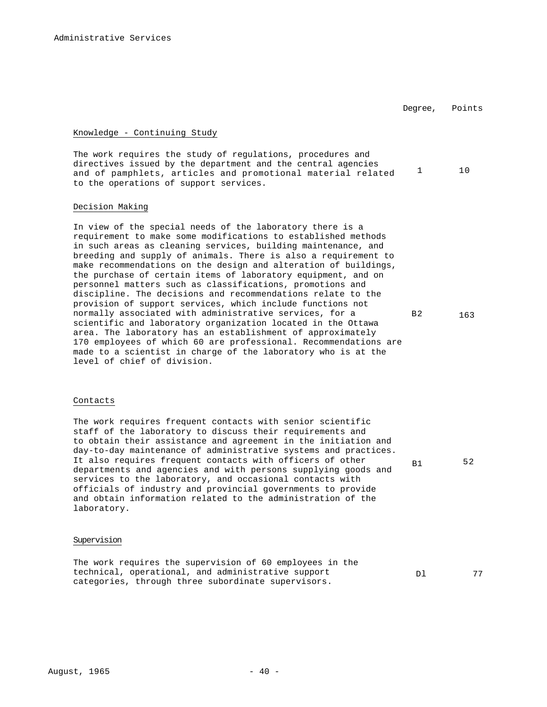Degree, Points

# Knowledge - Continuing Study

The work requires the study of regulations, procedures and directives issued by the department and the central agencies and of pamphlets, articles and promotional material related 1 10 to the operations of support services.

#### Decision Making

In view of the special needs of the laboratory there is a requirement to make some modifications to established methods in such areas as cleaning services, building maintenance, and breeding and supply of animals. There is also a requirement to make recommendations on the design and alteration of buildings, the purchase of certain items of laboratory equipment, and on personnel matters such as classifications, promotions and discipline. The decisions and recommendations relate to the provision of support services, which include functions not normally associated with administrative services, for a scientific and laboratory organization located in the Ottawa area. The laboratory has an establishment of approximately 170 employees of which 60 are professional. Recommendations are made to a scientist in charge of the laboratory who is at the level of chief of division. B2 163

# Contacts

The work requires frequent contacts with senior scientific staff of the laboratory to discuss their requirements and to obtain their assistance and agreement in the initiation and day-to-day maintenance of administrative systems and practices. It also requires frequent contacts with officers of other departments and agencies and with persons supplying goods and services to the laboratory, and occasional contacts with officials of industry and provincial governments to provide and obtain information related to the administration of the laboratory.

### Supervision

The work requires the supervision of 60 employees in the technical, operational, and administrative support categories, through three subordinate supervisors.

B1 52

Dl 77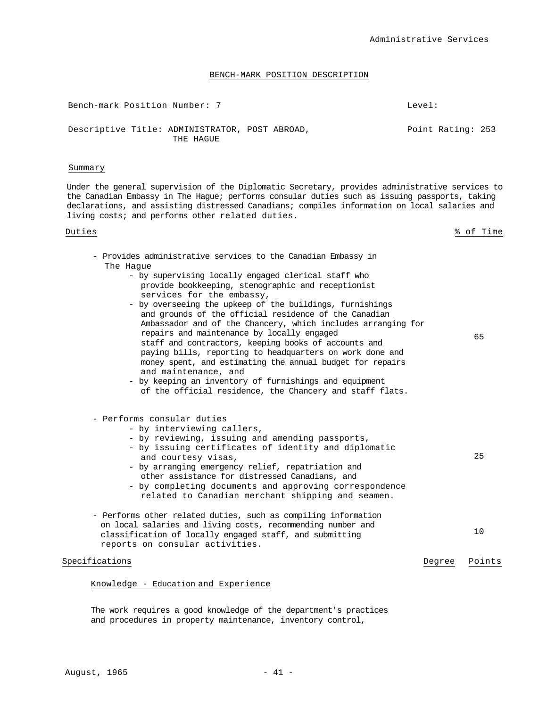| Bench-mark Position Number: 7 |                                                             |  | $I$ .evel: |                   |  |
|-------------------------------|-------------------------------------------------------------|--|------------|-------------------|--|
|                               | Descriptive Title: ADMINISTRATOR, POST ABROAD,<br>THE HAGUE |  |            | Point Rating: 253 |  |

#### Summary

Under the general supervision of the Diplomatic Secretary, provides administrative services to the Canadian Embassy in The Hague; performs consular duties such as issuing passports, taking declarations, and assisting distressed Canadians; compiles information on local salaries and living costs; and performs other related duties.

Duties % of Time

65

25

- Provides administrative services to the Canadian Embassy in The Hague
	- by supervising locally engaged clerical staff who provide bookkeeping, stenographic and receptionist services for the embassy,
	- by overseeing the upkeep of the buildings, furnishings and grounds of the official residence of the Canadian Ambassador and of the Chancery, which includes arranging for repairs and maintenance by locally engaged staff and contractors, keeping books of accounts and paying bills, reporting to headquarters on work done and money spent, and estimating the annual budget for repairs and maintenance, and
	- by keeping an inventory of furnishings and equipment of the official residence, the Chancery and staff flats.
- Performs consular duties
	- by interviewing callers,
	- by reviewing, issuing and amending passports,
	- by issuing certificates of identity and diplomatic and courtesy visas, - by arranging emergency relief, repatriation and
	- other assistance for distressed Canadians, and - by completing documents and approving correspondence related to Canadian merchant shipping and seamen.
- Performs other related duties, such as compiling information on local salaries and living costs, recommending number and classification of locally engaged staff, and submitting reports on consular activities. 10

# Specifications **Degree** Points

#### Knowledge - Education and Experience

The work requires a good knowledge of the department's practices and procedures in property maintenance, inventory control,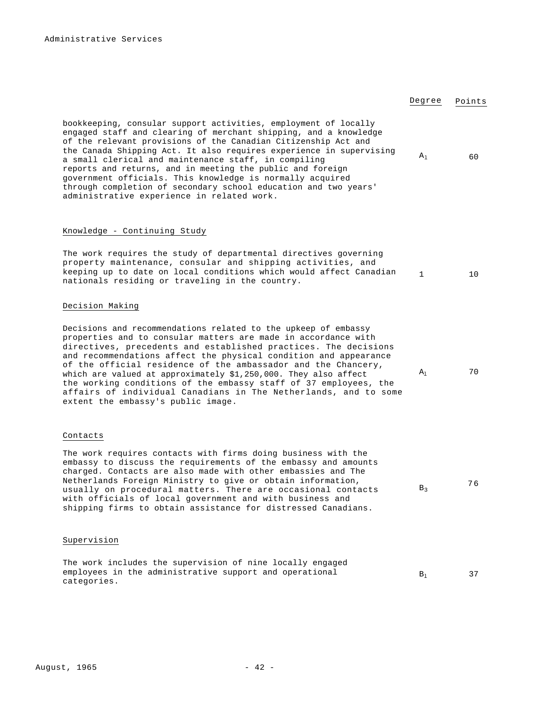Degree Points

 $A_1$  60

1 10

# Decision Making

Decisions and recommendations related to the upkeep of embassy properties and to consular matters are made in accordance with directives, precedents and established practices. The decisions and recommendations affect the physical condition and appearance of the official residence of the ambassador and the Chancery, which are valued at approximately \$1,250,000. They also affect the working conditions of the embassy staff of 37 employees, the affairs of individual Canadians in The Netherlands, and to some extent the embassy's public image.

The work requires the study of departmental directives governing property maintenance, consular and shipping activities, and keeping up to date on local conditions which would affect Canadian

bookkeeping, consular support activities, employment of locally engaged staff and clearing of merchant shipping, and a knowledge of the relevant provisions of the Canadian Citizenship Act and the Canada Shipping Act. It also requires experience in supervising

a small clerical and maintenance staff, in compiling reports and returns, and in meeting the public and foreign government officials. This knowledge is normally acquired through completion of secondary school education and two years'

administrative experience in related work.

nationals residing or traveling in the country.

Knowledge - Continuing Study

#### Contacts

The work requires contacts with firms doing business with the embassy to discuss the requirements of the embassy and amounts charged. Contacts are also made with other embassies and The Netherlands Foreign Ministry to give or obtain information, usually on procedural matters. There are occasional contacts with officials of local government and with business and shipping firms to obtain assistance for distressed Canadians.

### Supervision

The work includes the supervision of nine locally engaged employees in the administrative support and operational categories.

 $A<sub>1</sub>$  70

 $B_3$  76

 $B_1$  37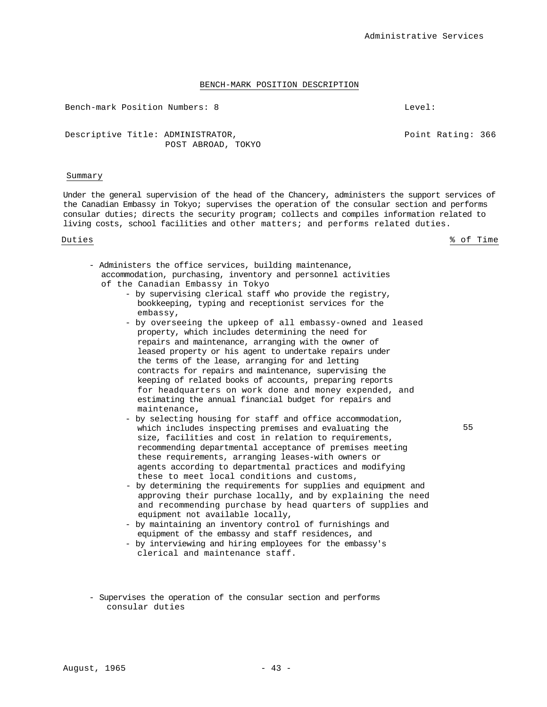Bench-mark Position Numbers: 8 Level:

Point Rating: 366

Descriptive Title: ADMINISTRATOR, POST ABROAD, TOKYO

### Summary

Under the general supervision of the head of the Chancery, administers the support services of the Canadian Embassy in Tokyo; supervises the operation of the consular section and performs consular duties; directs the security program; collects and compiles information related to living costs, school facilities and other matters; and performs related duties.

Duties % of Time

- Administers the office services, building maintenance, accommodation, purchasing, inventory and personnel activities of the Canadian Embassy in Tokyo
	- by supervising clerical staff who provide the registry, bookkeeping, typing and receptionist services for the embassy,
	- by overseeing the upkeep of all embassy-owned and leased property, which includes determining the need for repairs and maintenance, arranging with the owner of leased property or his agent to undertake repairs under the terms of the lease, arranging for and letting contracts for repairs and maintenance, supervising the keeping of related books of accounts, preparing reports for headquarters on work done and money expended, and estimating the annual financial budget for repairs and maintenance,
	- by selecting housing for staff and office accommodation, which includes inspecting premises and evaluating the size, facilities and cost in relation to requirements, recommending departmental acceptance of premises meeting these requirements, arranging leases-with owners or agents according to departmental practices and modifying these to meet local conditions and customs,
	- by determining the requirements for supplies and equipment and approving their purchase locally, and by explaining the need and recommending purchase by head quarters of supplies and equipment not available locally,
	- by maintaining an inventory control of furnishings and equipment of the embassy and staff residences, and
	- by interviewing and hiring employees for the embassy's clerical and maintenance staff.
- Supervises the operation of the consular section and performs consular duties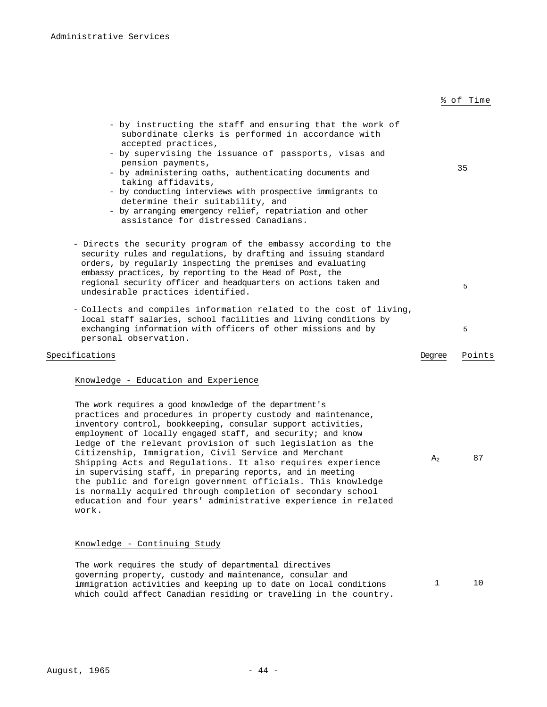| - by instructing the staff and ensuring that the work of<br>subordinate clerks is performed in accordance with<br>accepted practices,<br>- by supervising the issuance of passports, visas and<br>pension payments,<br>- by administering oaths, authenticating documents and<br>taking affidavits,<br>- by conducting interviews with prospective immigrants to<br>determine their suitability, and<br>- by arranging emergency relief, repatriation and other<br>assistance for distressed Canadians.                                                                                                                                                                                                           |                | 35     |
|-------------------------------------------------------------------------------------------------------------------------------------------------------------------------------------------------------------------------------------------------------------------------------------------------------------------------------------------------------------------------------------------------------------------------------------------------------------------------------------------------------------------------------------------------------------------------------------------------------------------------------------------------------------------------------------------------------------------|----------------|--------|
| - Directs the security program of the embassy according to the<br>security rules and regulations, by drafting and issuing standard<br>orders, by regularly inspecting the premises and evaluating<br>embassy practices, by reporting to the Head of Post, the<br>regional security officer and headquarters on actions taken and<br>undesirable practices identified.                                                                                                                                                                                                                                                                                                                                             |                | 5      |
| - Collects and compiles information related to the cost of living,<br>local staff salaries, school facilities and living conditions by<br>exchanging information with officers of other missions and by<br>personal observation.                                                                                                                                                                                                                                                                                                                                                                                                                                                                                  |                | 5      |
| Specifications                                                                                                                                                                                                                                                                                                                                                                                                                                                                                                                                                                                                                                                                                                    | Dearee         | Points |
| Knowledge - Education and Experience                                                                                                                                                                                                                                                                                                                                                                                                                                                                                                                                                                                                                                                                              |                |        |
| The work requires a good knowledge of the department's<br>practices and procedures in property custody and maintenance,<br>inventory control, bookkeeping, consular support activities,<br>employment of locally engaged staff, and security; and know<br>ledge of the relevant provision of such legislation as the<br>Citizenship, Immigration, Civil Service and Merchant<br>Shipping Acts and Regulations. It also requires experience<br>in supervising staff, in preparing reports, and in meeting<br>the public and foreign government officials. This knowledge<br>is normally acquired through completion of secondary school<br>education and four years' administrative experience in related<br>work. | A <sub>2</sub> | 87     |

Knowledge - Continuing Study

The work requires the study of departmental directives governing property, custody and maintenance, consular and immigration activities and keeping up to date on local conditions which could affect Canadian residing or traveling in the country. 1 10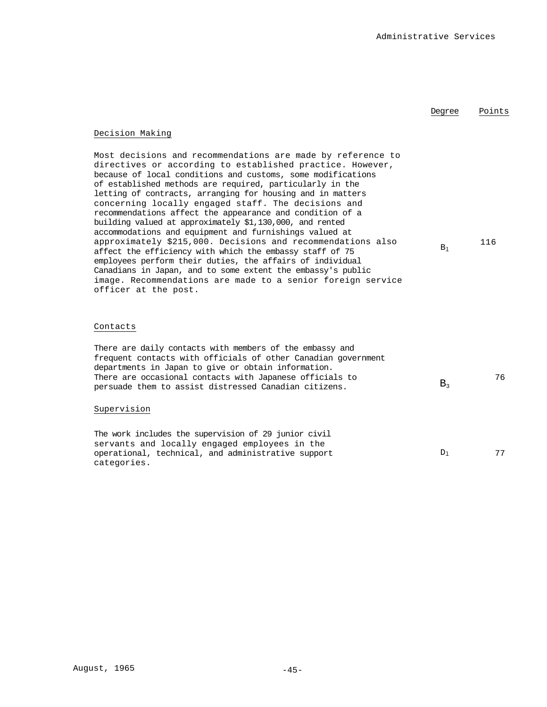# Degree Points

# Decision Making

Most decisions and recommendations are made by reference to directives or according to established practice. However, because of local conditions and customs, some modifications of established methods are required, particularly in the letting of contracts, arranging for housing and in matters concerning locally engaged staff. The decisions and recommendations affect the appearance and condition of a building valued at approximately \$1,130,000, and rented accommodations and equipment and furnishings valued at approximately \$215,000. Decisions and recommendations also affect the efficiency with which the embassy staff of 75 employees perform their duties, the affairs of individual Canadians in Japan, and to some extent the embassy's public image. Recommendations are made to a senior foreign service officer at the post.  $B_1$ 116

### Contacts

| There are daily contacts with members of the embassy and<br>frequent contacts with officials of other Canadian government<br>departments in Japan to give or obtain information.<br>There are occasional contacts with Japanese officials to<br>persuade them to assist distressed Canadian citizens. | $B_{3}$ | 76 |
|-------------------------------------------------------------------------------------------------------------------------------------------------------------------------------------------------------------------------------------------------------------------------------------------------------|---------|----|
| Supervision                                                                                                                                                                                                                                                                                           |         |    |

The work includes the supervision of 29 junior civil servants and locally engaged employees in the operational, technical, and administrative support categories.  $D_1$  77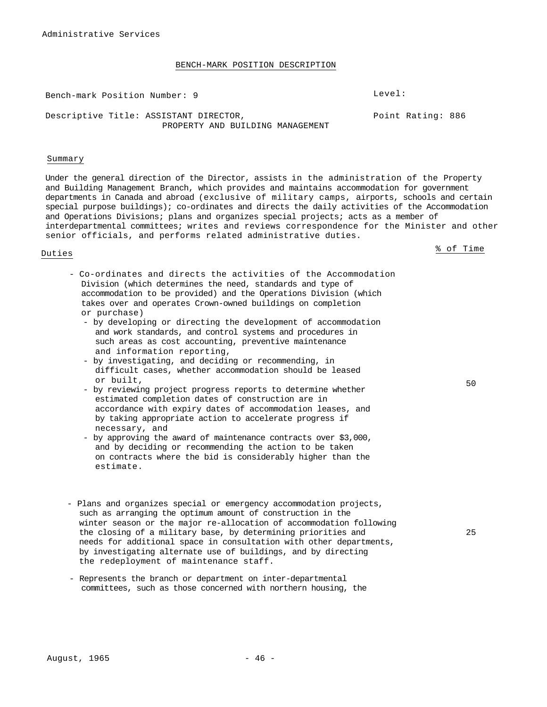Bench-mark Position Number: 9 Level:

Point Rating: 886

Descriptive Title: ASSISTANT DIRECTOR, PROPERTY AND BUILDING MANAGEMENT

#### Summary

Under the general direction of the Director, assists in the administration of the Property and Building Management Branch, which provides and maintains accommodation for government departments in Canada and abroad (exclusive of military camps, airports, schools and certain special purpose buildings); co-ordinates and directs the daily activities of the Accommodation and Operations Divisions; plans and organizes special projects; acts as a member of interdepartmental committees; writes and reviews correspondence for the Minister and other senior officials, and performs related administrative duties.

Duties % of Time

- Co-ordinates and directs the activities of the Accommodation Division (which determines the need, standards and type of accommodation to be provided) and the Operations Division (which takes over and operates Crown-owned buildings on completion or purchase)
	- by developing or directing the development of accommodation and work standards, and control systems and procedures in such areas as cost accounting, preventive maintenance and information reporting,
	- by investigating, and deciding or recommending, in difficult cases, whether accommodation should be leased or built,
	- by reviewing project progress reports to determine whether estimated completion dates of construction are in accordance with expiry dates of accommodation leases, and by taking appropriate action to accelerate progress if necessary, and
	- by approving the award of maintenance contracts over \$3,000, and by deciding or recommending the action to be taken on contracts where the bid is considerably higher than the estimate.
- Plans and organizes special or emergency accommodation projects, such as arranging the optimum amount of construction in the winter season or the major re-allocation of accommodation following the closing of a military base, by determining priorities and needs for additional space in consultation with other departments, by investigating alternate use of buildings, and by directing the redeployment of maintenance staff.
- Represents the branch or department on inter-departmental committees, such as those concerned with northern housing, the

50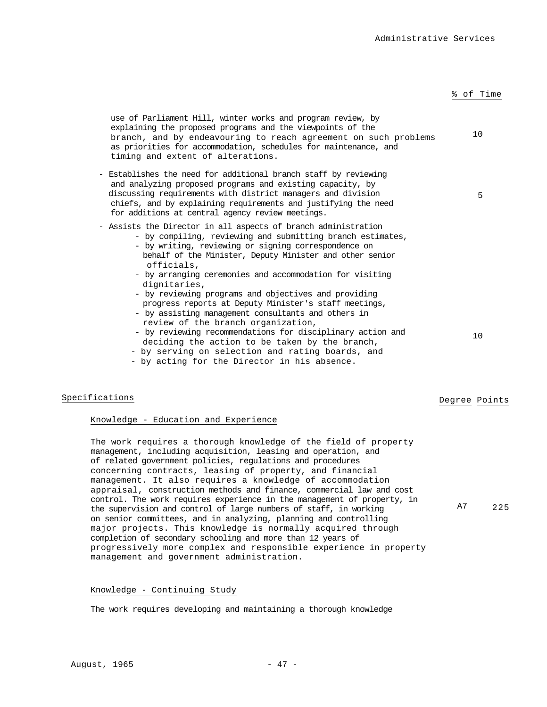## use of Parliament Hill, winter works and program review, by explaining the proposed programs and the viewpoints of the branch, and by endeavouring to reach agreement on such problems as priorities for accommodation, schedules for maintenance, and timing and extent of alterations. 10 - Establishes the need for additional branch staff by reviewing and analyzing proposed programs and existing capacity, by discussing requirements with district managers and division chiefs, and by explaining requirements and justifying the need for additions at central agency review meetings. 5 - Assists the Director in all aspects of branch administration - by compiling, reviewing and submitting branch estimates, - by writing, reviewing or signing correspondence on behalf of the Minister, Deputy Minister and other senior officials, - by arranging ceremonies and accommodation for visiting dignitaries, - by reviewing programs and objectives and providing progress reports at Deputy Minister's staff meetings, - by assisting management consultants and others in review of the branch organization, - by reviewing recommendations for disciplinary action and deciding the action to be taken by the branch, - by serving on selection and rating boards, and - by acting for the Director in his absence. 10

# Specifications **Degree** Points

## Knowledge - Education and Experience

The work requires a thorough knowledge of the field of property management, including acquisition, leasing and operation, and of related government policies, regulations and procedures concerning contracts, leasing of property, and financial management. It also requires a knowledge of accommodation appraisal, construction methods and finance, commercial law and cost control. The work requires experience in the management of property, in the supervision and control of large numbers of staff, in working on senior committees, and in analyzing, planning and controlling major projects. This knowledge is normally acquired through completion of secondary schooling and more than 12 years of progressively more complex and responsible experience in property management and government administration. A7 225

# Knowledge - Continuing Study

The work requires developing and maintaining a thorough knowledge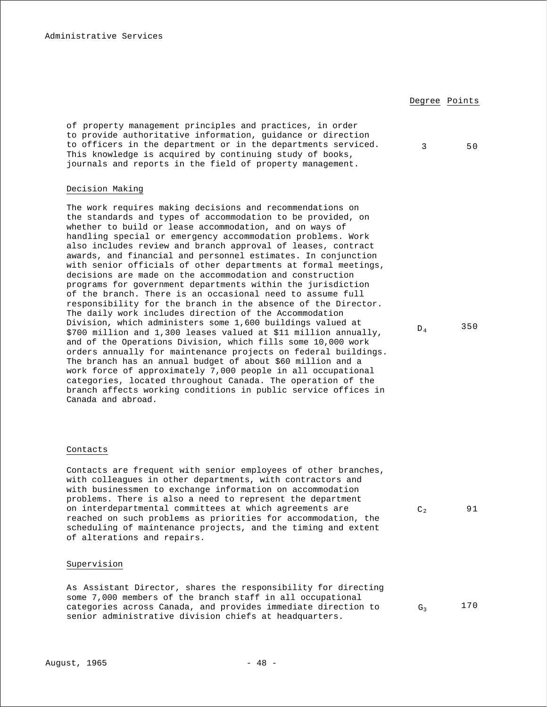Degree Points of property management principles and practices, in order to provide authoritative information, guidance or direction to officers in the department or in the departments serviced. This knowledge is acquired by continuing study of books, journals and reports in the field of property management. 3 50 Decision Making

The work requires making decisions and recommendations on the standards and types of accommodation to be provided, on whether to build or lease accommodation, and on ways of handling special or emergency accommodation problems. Work also includes review and branch approval of leases, contract awards, and financial and personnel estimates. In conjunction with senior officials of other departments at formal meetings, decisions are made on the accommodation and construction programs for government departments within the jurisdiction of the branch. There is an occasional need to assume full responsibility for the branch in the absence of the Director. The daily work includes direction of the Accommodation Division, which administers some 1,600 buildings valued at \$700 million and 1,300 leases valued at \$11 million annually, and of the Operations Division, which fills some 10,000 work orders annually for maintenance projects on federal buildings. The branch has an annual budget of about \$60 million and a work force of approximately 7,000 people in all occupational categories, located throughout Canada. The operation of the branch affects working conditions in public service offices in Canada and abroad.

 $D_4$  350

# Contacts

Contacts are frequent with senior employees of other branches, with colleagues in other departments, with contractors and with businessmen to exchange information on accommodation problems. There is also a need to represent the department on interdepartmental committees at which agreements are reached on such problems as priorities for accommodation, the scheduling of maintenance projects, and the timing and extent of alterations and repairs.

# Supervision

As Assistant Director, shares the responsibility for directing some 7,000 members of the branch staff in all occupational categories across Canada, and provides immediate direction to senior administrative division chiefs at headquarters.

 $C_2$  91

 $G_3$  170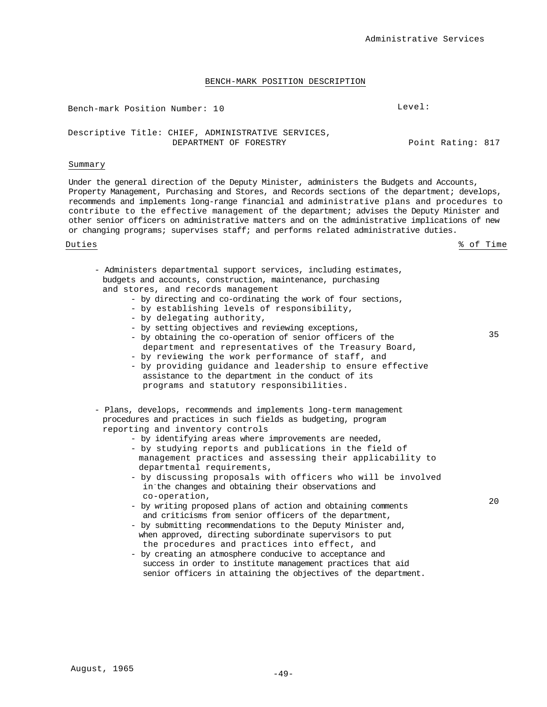| Bench-mark Position Number: 10                                               | Level:            |
|------------------------------------------------------------------------------|-------------------|
| Descriptive Title: CHIEF, ADMINISTRATIVE SERVICES,<br>DEPARTMENT OF FORESTRY | Point Rating: 817 |

### Summary

Under the general direction of the Deputy Minister, administers the Budgets and Accounts, Property Management, Purchasing and Stores, and Records sections of the department; develops, recommends and implements long-range financial and administrative plans and procedures to contribute to the effective management of the department; advises the Deputy Minister and other senior officers on administrative matters and on the administrative implications of new or changing programs; supervises staff; and performs related administrative duties.

Duties % of Time

35

- Administers departmental support services, including estimates, budgets and accounts, construction, maintenance, purchasing and stores, and records management - by directing and co-ordinating the work of four sections,
	- by establishing levels of responsibility,
	- by delegating authority,
	- by setting objectives and reviewing exceptions,
	- by obtaining the co-operation of senior officers of the department and representatives of the Treasury Board,
	- by reviewing the work performance of staff, and
	- by providing guidance and leadership to ensure effective assistance to the department in the conduct of its programs and statutory responsibilities.
- Plans, develops, recommends and implements long-term management procedures and practices in such fields as budgeting, program reporting and inventory controls
	- by identifying areas where improvements are needed,
	- by studying reports and publications in the field of management practices and assessing their applicability to departmental requirements,
	- by discussing proposals with officers who will be involved in-the changes and obtaining their observations and co-operation,
	- by writing proposed plans of action and obtaining comments and criticisms from senior officers of the department,
	- by submitting recommendations to the Deputy Minister and, when approved, directing subordinate supervisors to put the procedures and practices into effect, and
	- by creating an atmosphere conducive to acceptance and success in order to institute management practices that aid senior officers in attaining the objectives of the department.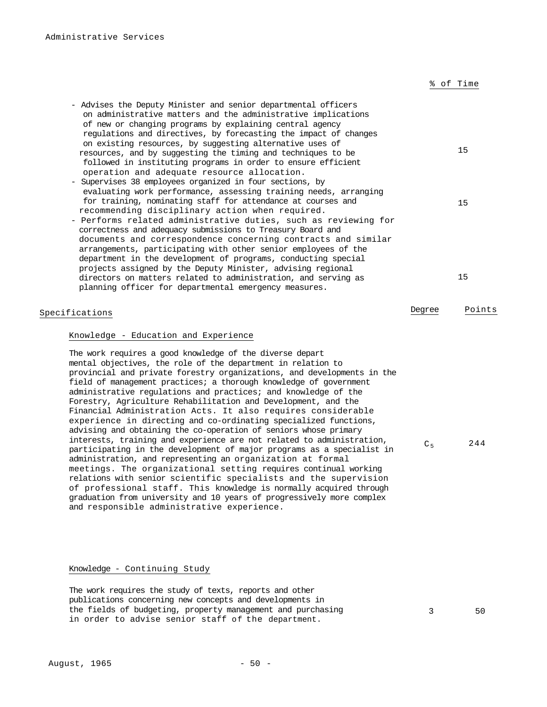|  | % of Time |
|--|-----------|
|  |           |

| - Advises the Deputy Minister and senior departmental officers   |    |
|------------------------------------------------------------------|----|
| on administrative matters and the administrative implications    |    |
| of new or changing programs by explaining central agency         |    |
| regulations and directives, by forecasting the impact of changes |    |
| on existing resources, by suggesting alternative uses of         |    |
| resources, and by suggesting the timing and techniques to be     | 15 |
| followed in instituting programs in order to ensure efficient    |    |
| operation and adequate resource allocation.                      |    |
| - Supervises 38 employees organized in four sections, by         |    |
| evaluating work performance, assessing training needs, arranging |    |
| for training, nominating staff for attendance at courses and     | 15 |
| recommending disciplinary action when required.                  |    |
| - Performs related administrative duties, such as reviewing for  |    |
| correctness and adequacy submissions to Treasury Board and       |    |
| documents and correspondence concerning contracts and similar    |    |
| arrangements, participating with other senior employees of the   |    |
| department in the development of programs, conducting special    |    |
| projects assigned by the Deputy Minister, advising regional      |    |
| directors on matters related to administration, and serving as   | 15 |
| planning officer for departmental emergency measures.            |    |

# Specifications **Degree** Points

## Knowledge - Education and Experience

The work requires a good knowledge of the diverse depart mental objectives, the role of the department in relation to provincial and private forestry organizations, and developments in the field of management practices; a thorough knowledge of government administrative regulations and practices; and knowledge of the Forestry, Agriculture Rehabilitation and Development, and the Financial Administration Acts. It also requires considerable experience in directing and co-ordinating specialized functions, advising and obtaining the co-operation of seniors whose primary interests, training and experience are not related to administration, participating in the development of major programs as a specialist in administration, and representing an organization at formal meetings. The organizational setting requires continual working relations with senior scientific specialists and the supervision of professional staff. This knowledge is normally acquired through graduation from university and 10 years of progressively more complex and responsible administrative experience.

 $C_5$  244

# Knowledge - Continuing Study

The work requires the study of texts, reports and other publications concerning new concepts and developments in the fields of budgeting, property management and purchasing in order to advise senior staff of the department.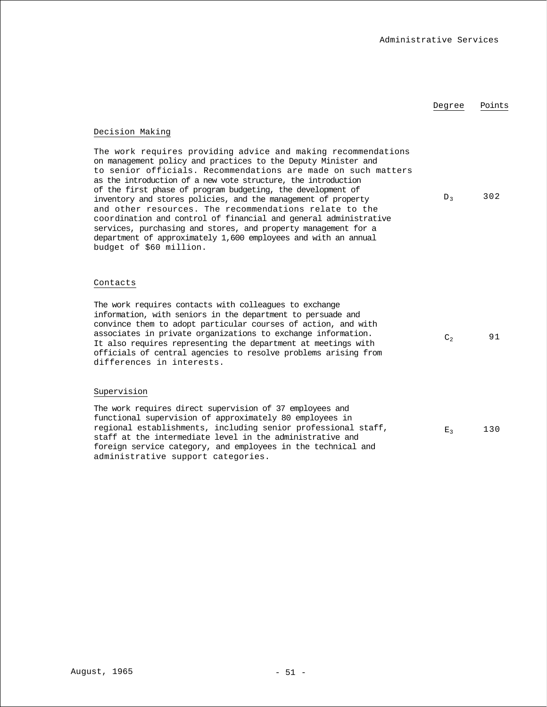# Degree Points

# Decision Making

The work requires providing advice and making recommendations on management policy and practices to the Deputy Minister and to senior officials. Recommendations are made on such matters as the introduction of a new vote structure, the introduction of the first phase of program budgeting, the development of inventory and stores policies, and the management of property and other resources. The recommendations relate to the coordination and control of financial and general administrative services, purchasing and stores, and property management for a department of approximately 1,600 employees and with an annual budget of \$60 million.  $D_3$  302

### Contacts

The work requires contacts with colleagues to exchange information, with seniors in the department to persuade and convince them to adopt particular courses of action, and with associates in private organizations to exchange information. It also requires representing the department at meetings with officials of central agencies to resolve problems arising from differences in interests.  $C_2$  91

# Supervision

The work requires direct supervision of 37 employees and functional supervision of approximately 80 employees in regional establishments, including senior professional staff, staff at the intermediate level in the administrative and foreign service category, and employees in the technical and administrative support categories.  $E_2$  130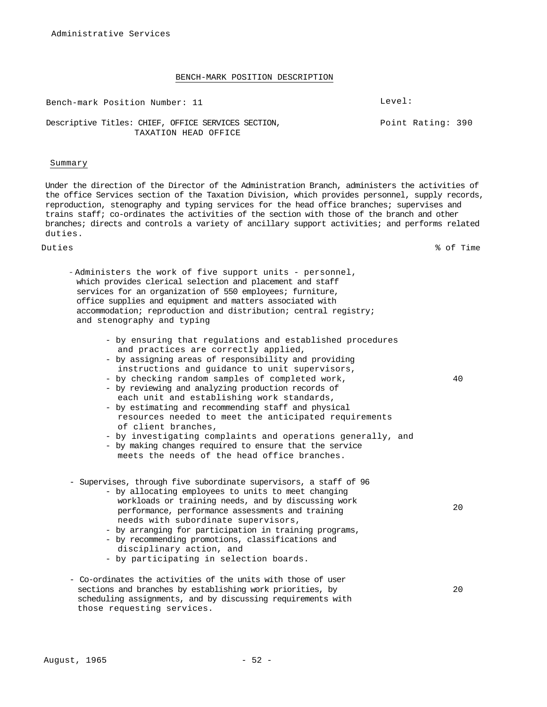Bench-mark Position Number: 11 Level:

Point Rating: 390

# Descriptive Titles: CHIEF, OFFICE SERVICES SECTION, TAXATION HEAD OFFICE

#### Summary

Under the direction of the Director of the Administration Branch, administers the activities of the office Services section of the Taxation Division, which provides personnel, supply records, reproduction, stenography and typing services for the head office branches; supervises and trains staff; co-ordinates the activities of the section with those of the branch and other branches; directs and controls a variety of ancillary support activities; and performs related duties.

Duties % of Time

- Administers the work of five support units personnel, which provides clerical selection and placement and staff services for an organization of 550 employees; furniture, office supplies and equipment and matters associated with accommodation; reproduction and distribution; central registry; and stenography and typing
	- by ensuring that regulations and established procedures and practices are correctly applied,
	- by assigning areas of responsibility and providing instructions and guidance to unit supervisors,
	- by checking random samples of completed work,
	- by reviewing and analyzing production records of each unit and establishing work standards,
	- by estimating and recommending staff and physical resources needed to meet the anticipated requirements of client branches,
	- by investigating complaints and operations generally, and
	- by making changes required to ensure that the service meets the needs of the head office branches.
- Supervises, through five subordinate supervisors, a staff of 96
	- by allocating employees to units to meet changing workloads or training needs, and by discussing work performance, performance assessments and training needs with subordinate supervisors,
	- by arranging for participation in training programs, - by recommending promotions, classifications and
	- disciplinary action, and
	- by participating in selection boards.
- Co-ordinates the activities of the units with those of user sections and branches by establishing work priorities, by scheduling assignments, and by discussing requirements with those requesting services.

20

20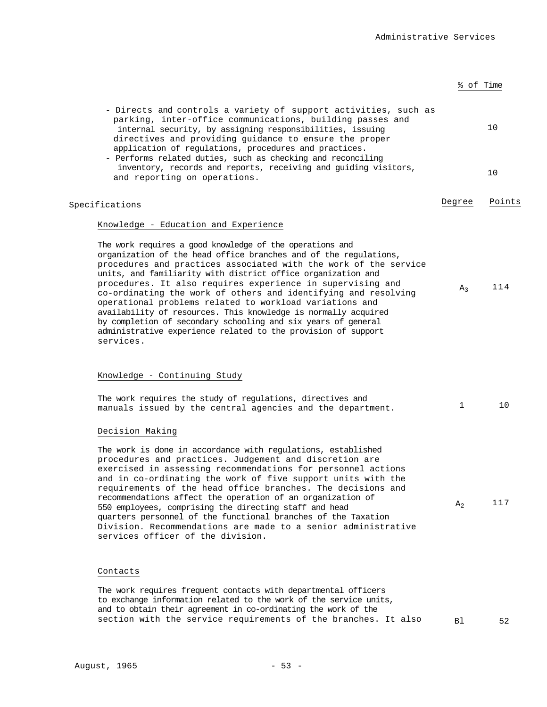|                                                                                                                                                                                                                                                                                                                                                                                                                                                                                                                                                                                                                                                                              | % of Time      |        |
|------------------------------------------------------------------------------------------------------------------------------------------------------------------------------------------------------------------------------------------------------------------------------------------------------------------------------------------------------------------------------------------------------------------------------------------------------------------------------------------------------------------------------------------------------------------------------------------------------------------------------------------------------------------------------|----------------|--------|
| - Directs and controls a variety of support activities, such as<br>parking, inter-office communications, building passes and<br>internal security, by assigning responsibilities, issuing<br>directives and providing guidance to ensure the proper<br>application of regulations, procedures and practices.<br>- Performs related duties, such as checking and reconciling                                                                                                                                                                                                                                                                                                  |                | 10     |
| inventory, records and reports, receiving and guiding visitors,<br>and reporting on operations.                                                                                                                                                                                                                                                                                                                                                                                                                                                                                                                                                                              |                | 10     |
| Specifications                                                                                                                                                                                                                                                                                                                                                                                                                                                                                                                                                                                                                                                               | Degree         | Points |
| Knowledge - Education and Experience                                                                                                                                                                                                                                                                                                                                                                                                                                                                                                                                                                                                                                         |                |        |
| The work requires a good knowledge of the operations and<br>organization of the head office branches and of the regulations,<br>procedures and practices associated with the work of the service<br>units, and familiarity with district office organization and<br>procedures. It also requires experience in supervising and<br>co-ordinating the work of others and identifying and resolving<br>operational problems related to workload variations and<br>availability of resources. This knowledge is normally acquired<br>by completion of secondary schooling and six years of general<br>administrative experience related to the provision of support<br>services. | $A_3$          | 114    |
| Knowledge - Continuing Study                                                                                                                                                                                                                                                                                                                                                                                                                                                                                                                                                                                                                                                 |                |        |
| The work requires the study of regulations, directives and<br>manuals issued by the central agencies and the department.                                                                                                                                                                                                                                                                                                                                                                                                                                                                                                                                                     | 1              | 10     |
| Decision Making                                                                                                                                                                                                                                                                                                                                                                                                                                                                                                                                                                                                                                                              |                |        |
| The work is done in accordance with regulations, established<br>procedures and practices. Judgement and discretion are<br>exercised in assessing recommendations for personnel actions<br>and in co-ordinating the work of five support units with the<br>requirements of the head office branches. The decisions and<br>recommendations affect the operation of an organization of<br>550 employees, comprising the directing staff and head<br>quarters personnel of the functional branches of the Taxation<br>Division. Recommendations are made to a senior administrative<br>services officer of the division.                                                         | A <sub>2</sub> | 117    |
| Contacts                                                                                                                                                                                                                                                                                                                                                                                                                                                                                                                                                                                                                                                                     |                |        |
| The work requires frequent contacts with departmental officers<br>to exchange information related to the work of the service units,<br>and to obtain their agreement in co-ordinating the work of the                                                                                                                                                                                                                                                                                                                                                                                                                                                                        |                |        |

section with the service requirements of the branches. It also Bl 52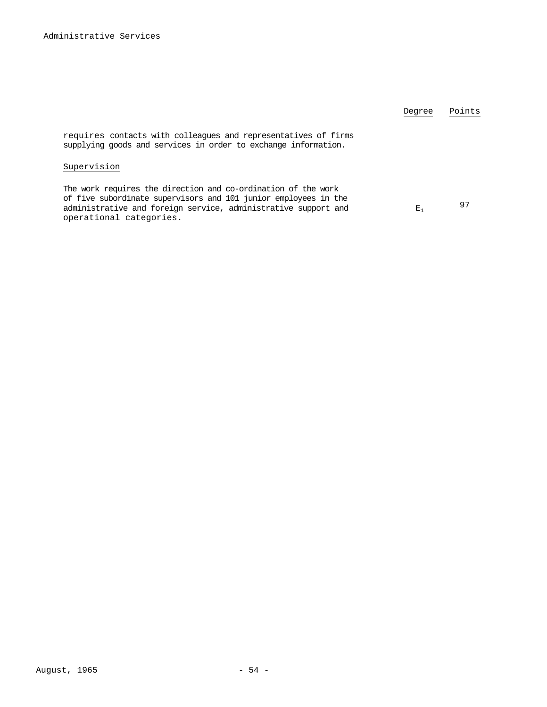|                                                                                                                                                                                                                               | Degree         | Points |
|-------------------------------------------------------------------------------------------------------------------------------------------------------------------------------------------------------------------------------|----------------|--------|
| requires contacts with colleagues and representatives of firms<br>supplying goods and services in order to exchange information.                                                                                              |                |        |
| Supervision                                                                                                                                                                                                                   |                |        |
| The work requires the direction and co-ordination of the work<br>of five subordinate supervisors and 101 junior employees in the<br>administrative and foreign service, administrative support and<br>operational categories. | $\mathbf{E}_1$ | 97     |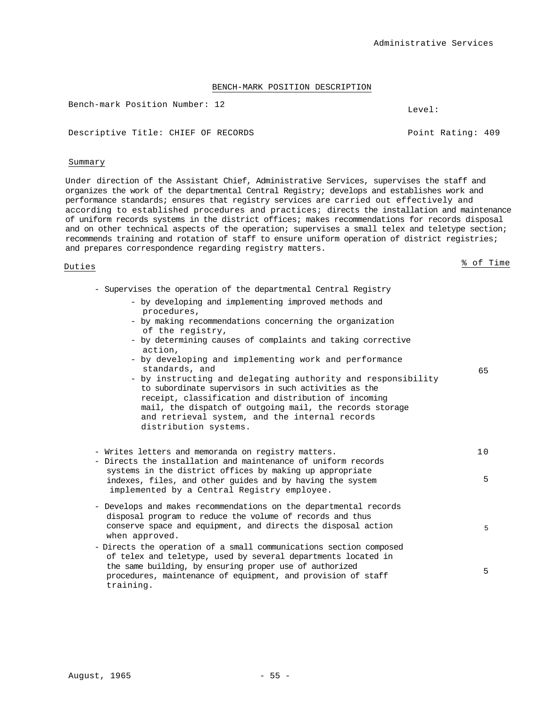Bench-mark Position Number: 12 Level:

Descriptive Title: CHIEF OF RECORDS Point Rating: 409

## Summary

Under direction of the Assistant Chief, Administrative Services, supervises the staff and organizes the work of the departmental Central Registry; develops and establishes work and performance standards; ensures that registry services are carried out effectively and according to established procedures and practices; directs the installation and maintenance of uniform records systems in the district offices; makes recommendations for records disposal and on other technical aspects of the operation; supervises a small telex and teletype section; recommends training and rotation of staff to ensure uniform operation of district registries; and prepares correspondence regarding registry matters.

- Supervises the operation of the departmental Central Registry

- by developing and implementing improved methods and procedures,
- by making recommendations concerning the organization of the registry,
- by determining causes of complaints and taking corrective action,
- by developing and implementing work and performance standards, and
- by instructing and delegating authority and responsibility to subordinate supervisors in such activities as the receipt, classification and distribution of incoming mail, the dispatch of outgoing mail, the records storage and retrieval system, and the internal records distribution systems.

| - Writes letters and memoranda on registry matters.                                                                                                                                                                                                                         | 1 N |
|-----------------------------------------------------------------------------------------------------------------------------------------------------------------------------------------------------------------------------------------------------------------------------|-----|
| - Directs the installation and maintenance of uniform records<br>systems in the district offices by making up appropriate<br>indexes, files, and other quides and by having the system<br>implemented by a Central Registry employee.                                       | 5   |
| - Develops and makes recommendations on the departmental records<br>disposal program to reduce the volume of records and thus<br>conserve space and equipment, and directs the disposal action<br>when approved.                                                            | 5   |
| - Directs the operation of a small communications section composed<br>of telex and teletype, used by several departments located in<br>the same building, by ensuring proper use of authorized<br>procedures, maintenance of equipment, and provision of staff<br>training. | 5   |

Duties  $\frac{8}{3}$  of Time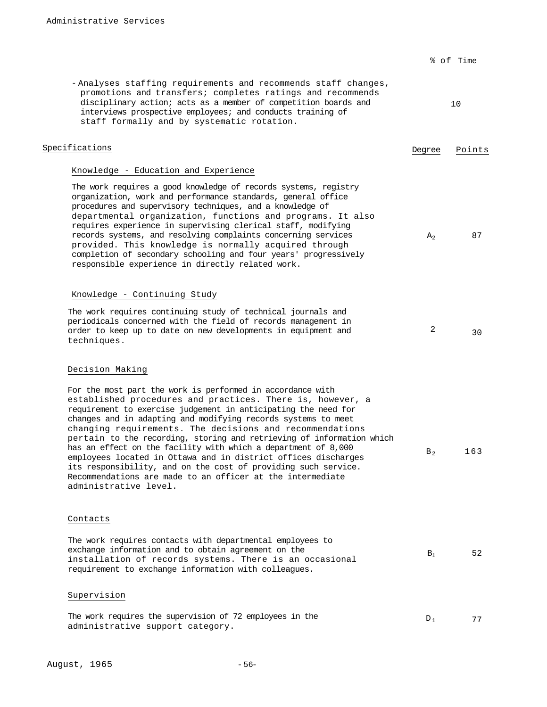|                                                                                                                                                                                                                                                                                                                                                                                                                                                                                                                                                                                                                                                                                               |                | % of Time |
|-----------------------------------------------------------------------------------------------------------------------------------------------------------------------------------------------------------------------------------------------------------------------------------------------------------------------------------------------------------------------------------------------------------------------------------------------------------------------------------------------------------------------------------------------------------------------------------------------------------------------------------------------------------------------------------------------|----------------|-----------|
| - Analyses staffing requirements and recommends staff changes,<br>promotions and transfers; completes ratings and recommends<br>disciplinary action; acts as a member of competition boards and<br>interviews prospective employees; and conducts training of<br>staff formally and by systematic rotation.                                                                                                                                                                                                                                                                                                                                                                                   |                | 10        |
| Specifications                                                                                                                                                                                                                                                                                                                                                                                                                                                                                                                                                                                                                                                                                | Degree         | Points    |
| Knowledge - Education and Experience                                                                                                                                                                                                                                                                                                                                                                                                                                                                                                                                                                                                                                                          |                |           |
| The work requires a good knowledge of records systems, registry<br>organization, work and performance standards, general office<br>procedures and supervisory techniques, and a knowledge of<br>departmental organization, functions and programs. It also<br>requires experience in supervising clerical staff, modifying<br>records systems, and resolving complaints concerning services<br>provided. This knowledge is normally acquired through<br>completion of secondary schooling and four years' progressively<br>responsible experience in directly related work.                                                                                                                   | A <sub>2</sub> | 87        |
| Knowledge - Continuing Study<br>The work requires continuing study of technical journals and<br>periodicals concerned with the field of records management in<br>order to keep up to date on new developments in equipment and<br>techniques.                                                                                                                                                                                                                                                                                                                                                                                                                                                 | 2              | 30        |
| Decision Making                                                                                                                                                                                                                                                                                                                                                                                                                                                                                                                                                                                                                                                                               |                |           |
| For the most part the work is performed in accordance with<br>established procedures and practices. There is, however, a<br>requirement to exercise judgement in anticipating the need for<br>changes and in adapting and modifying records systems to meet<br>changing requirements. The decisions and recommendations<br>pertain to the recording, storing and retrieving of information which<br>has an effect on the facility with which a department of 8,000<br>employees located in Ottawa and in district offices discharges<br>its responsibility, and on the cost of providing such service.<br>Recommendations are made to an officer at the intermediate<br>administrative level. | $B_2$          | 163       |
| Contacts                                                                                                                                                                                                                                                                                                                                                                                                                                                                                                                                                                                                                                                                                      |                |           |
| The work requires contacts with departmental employees to<br>exchange information and to obtain agreement on the<br>installation of records systems. There is an occasional<br>requirement to exchange information with colleagues.                                                                                                                                                                                                                                                                                                                                                                                                                                                           | $B_1$          | 52        |
| Supervision                                                                                                                                                                                                                                                                                                                                                                                                                                                                                                                                                                                                                                                                                   |                |           |
| The work requires the supervision of 72 employees in the                                                                                                                                                                                                                                                                                                                                                                                                                                                                                                                                                                                                                                      | $D_1$          | 77        |

administrative support category.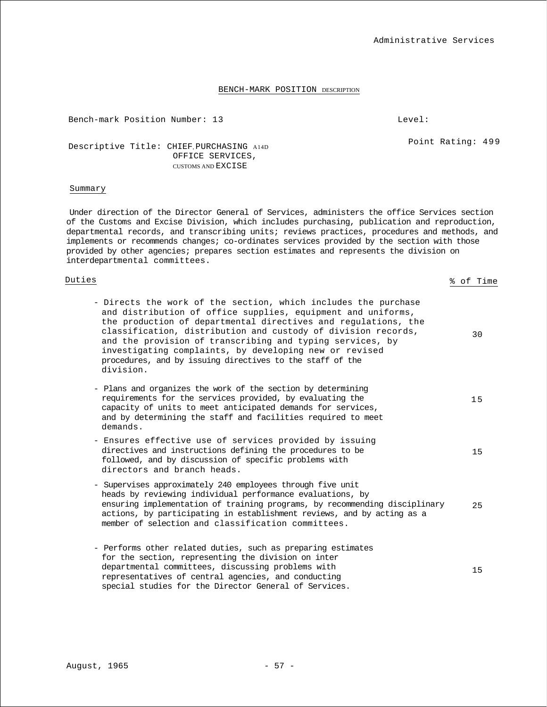Bench-mark Position Number: 13 Level:

Administrative Services

Point Rating: 499

Descriptive Title: CHIEF, PURCHASING A14D OFFICE SERVICES, CUSTOMS AND EXCISE

# Summary

Under direction of the Director General of Services, administers the office Services section of the Customs and Excise Division, which includes purchasing, publication and reproduction, departmental records, and transcribing units; reviews practices, procedures and methods, and implements or recommends changes; co-ordinates services provided by the section with those provided by other agencies; prepares section estimates and represents the division on interdepartmental committees.

# <u>Duties</u> & of Time

| - Directs the work of the section, which includes the purchase<br>and distribution of office supplies, equipment and uniforms,<br>the production of departmental directives and regulations, the<br>classification, distribution and custody of division records,<br>and the provision of transcribing and typing services, by<br>investigating complaints, by developing new or revised<br>procedures, and by issuing directives to the staff of the<br>division. | 30 |
|--------------------------------------------------------------------------------------------------------------------------------------------------------------------------------------------------------------------------------------------------------------------------------------------------------------------------------------------------------------------------------------------------------------------------------------------------------------------|----|
| - Plans and organizes the work of the section by determining<br>requirements for the services provided, by evaluating the<br>capacity of units to meet anticipated demands for services,<br>and by determining the staff and facilities required to meet<br>demands.                                                                                                                                                                                               | 15 |
| - Ensures effective use of services provided by issuing<br>directives and instructions defining the procedures to be<br>followed, and by discussion of specific problems with<br>directors and branch heads.                                                                                                                                                                                                                                                       | 15 |
| - Supervises approximately 240 employees through five unit<br>heads by reviewing individual performance evaluations, by<br>ensuring implementation of training programs, by recommending disciplinary<br>actions, by participating in establishment reviews, and by acting as a<br>member of selection and classification committees.                                                                                                                              | 25 |
| - Performs other related duties, such as preparing estimates<br>for the section, representing the division on inter<br>departmental committees, discussing problems with<br>representatives of central agencies, and conducting<br>special studies for the Director General of Services.                                                                                                                                                                           | 15 |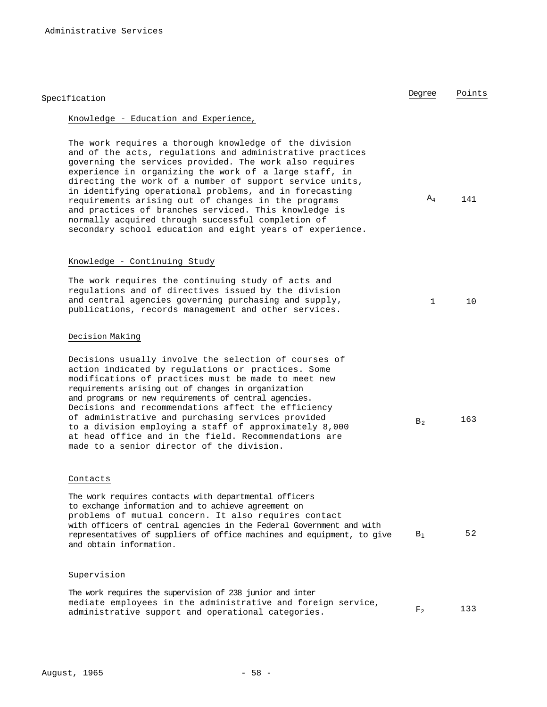| Specification                                                                                                                                                                                                                                                                                                                                                                                                                                                                                                                                                                                      | Degree       | Points |
|----------------------------------------------------------------------------------------------------------------------------------------------------------------------------------------------------------------------------------------------------------------------------------------------------------------------------------------------------------------------------------------------------------------------------------------------------------------------------------------------------------------------------------------------------------------------------------------------------|--------------|--------|
| Knowledge - Education and Experience,                                                                                                                                                                                                                                                                                                                                                                                                                                                                                                                                                              |              |        |
| The work requires a thorough knowledge of the division<br>and of the acts, regulations and administrative practices<br>governing the services provided. The work also requires<br>experience in organizing the work of a large staff, in<br>directing the work of a number of support service units,<br>in identifying operational problems, and in forecasting<br>requirements arising out of changes in the programs<br>and practices of branches serviced. This knowledge is<br>normally acquired through successful completion of<br>secondary school education and eight years of experience. | $A_4$        | 141    |
| Knowledge - Continuing Study                                                                                                                                                                                                                                                                                                                                                                                                                                                                                                                                                                       |              |        |
| The work requires the continuing study of acts and<br>requlations and of directives issued by the division<br>and central agencies governing purchasing and supply,<br>publications, records management and other services.                                                                                                                                                                                                                                                                                                                                                                        | $\mathbf{1}$ | 10     |
| Decision Making                                                                                                                                                                                                                                                                                                                                                                                                                                                                                                                                                                                    |              |        |
| Decisions usually involve the selection of courses of<br>action indicated by regulations or practices. Some<br>modifications of practices must be made to meet new<br>requirements arising out of changes in organization<br>and programs or new requirements of central agencies.<br>Decisions and recommendations affect the efficiency<br>of administrative and purchasing services provided<br>to a division employing a staff of approximately 8,000<br>at head office and in the field. Recommendations are<br>made to a senior director of the division.                                    | $B_2$        | 163    |
| Contacts                                                                                                                                                                                                                                                                                                                                                                                                                                                                                                                                                                                           |              |        |
| The work requires contacts with departmental officers<br>to exchange information and to achieve agreement on<br>problems of mutual concern. It also requires contact<br>with officers of central agencies in the Federal Government and with<br>representatives of suppliers of office machines and equipment, to give<br>and obtain information.                                                                                                                                                                                                                                                  | $B_1$        | 52     |

# Supervision

The work requires the supervision of 238 junior and inter mediate employees in the administrative and foreign service, details administrative support and operational categories.  $F_2$  133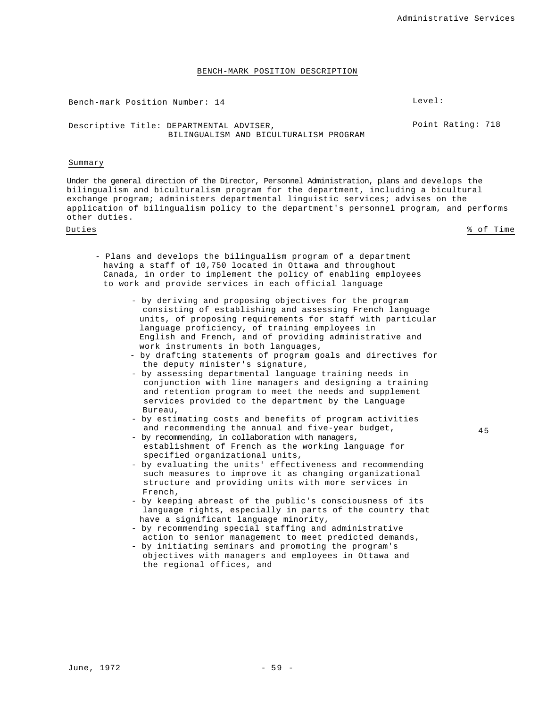Bench-mark Position Number: 14 Level:

Descriptive Title: DEPARTMENTAL ADVISER, BILINGUALISM AND BICULTURALISM PROGRAM Point Rating: 718

#### Summary

Under the general direction of the Director, Personnel Administration, plans and develops the bilingualism and biculturalism program for the department, including a bicultural exchange program; administers departmental linguistic services; advises on the application of bilingualism policy to the department's personnel program, and performs other duties.

Duties % of Time

- Plans and develops the bilingualism program of a department having a staff of 10,750 located in Ottawa and throughout Canada, in order to implement the policy of enabling employees to work and provide services in each official language
	- by deriving and proposing objectives for the program consisting of establishing and assessing French language units, of proposing requirements for staff with particular language proficiency, of training employees in English and French, and of providing administrative and work instruments in both languages,
	- by drafting statements of program goals and directives for the deputy minister's signature,
	- by assessing departmental language training needs in conjunction with line managers and designing a training and retention program to meet the needs and supplement services provided to the department by the Language Bureau,
	- by estimating costs and benefits of program activities and recommending the annual and five-year budget,
	- by recommending, in collaboration with managers, establishment of French as the working language for specified organizational units,
	- by evaluating the units' effectiveness and recommending such measures to improve it as changing organizational structure and providing units with more services in French,
	- by keeping abreast of the public's consciousness of its language rights, especially in parts of the country that have a significant language minority,
	- by recommending special staffing and administrative action to senior management to meet predicted demands,
	- by initiating seminars and promoting the program's objectives with managers and employees in Ottawa and the regional offices, and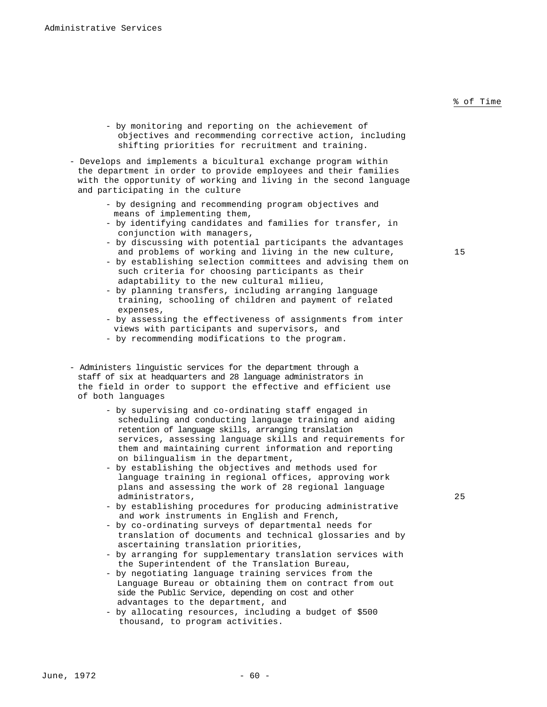- by monitoring and reporting on the achievement of objectives and recommending corrective action, including shifting priorities for recruitment and training.
- Develops and implements a bicultural exchange program within the department in order to provide employees and their families with the opportunity of working and living in the second language and participating in the culture
	- by designing and recommending program objectives and means of implementing them,
	- by identifying candidates and families for transfer, in conjunction with managers,
	- by discussing with potential participants the advantages and problems of working and living in the new culture,  $15$
	- by establishing selection committees and advising them on such criteria for choosing participants as their adaptability to the new cultural milieu,
	- by planning transfers, including arranging language training, schooling of children and payment of related expenses,
	- by assessing the effectiveness of assignments from inter views with participants and supervisors, and
	- by recommending modifications to the program.
- Administers linguistic services for the department through a staff of six at headquarters and 28 language administrators in the field in order to support the effective and efficient use of both languages
	- by supervising and co-ordinating staff engaged in scheduling and conducting language training and aiding retention of language skills, arranging translation services, assessing language skills and requirements for them and maintaining current information and reporting on bilingualism in the department,
	- by establishing the objectives and methods used for language training in regional offices, approving work plans and assessing the work of 28 regional language administrators, 25
	- by establishing procedures for producing administrative and work instruments in English and French,
	- by co-ordinating surveys of departmental needs for translation of documents and technical glossaries and by ascertaining translation priorities,
	- by arranging for supplementary translation services with the Superintendent of the Translation Bureau,
	- by negotiating language training services from the Language Bureau or obtaining them on contract from out side the Public Service, depending on cost and other advantages to the department, and
	- by allocating resources, including a budget of \$500 thousand, to program activities.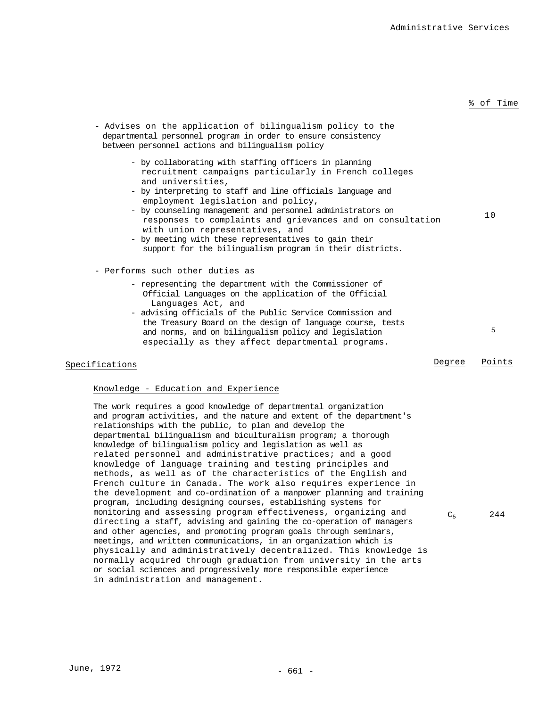| - Advises on the application of bilingualism policy to the<br>departmental personnel program in order to ensure consistency<br>between personnel actions and bilingualism policy                                                                                                                                                                                                                                                                                                                                            |        |        |
|-----------------------------------------------------------------------------------------------------------------------------------------------------------------------------------------------------------------------------------------------------------------------------------------------------------------------------------------------------------------------------------------------------------------------------------------------------------------------------------------------------------------------------|--------|--------|
| - by collaborating with staffing officers in planning<br>recruitment campaigns particularly in French colleges<br>and universities,<br>- by interpreting to staff and line officials language and<br>employment legislation and policy,<br>- by counseling management and personnel administrators on<br>responses to complaints and grievances and on consultation<br>with union representatives, and<br>- by meeting with these representatives to gain their<br>support for the bilingualism program in their districts. |        | 10     |
| - Performs such other duties as                                                                                                                                                                                                                                                                                                                                                                                                                                                                                             |        |        |
| - representing the department with the Commissioner of<br>Official Languages on the application of the Official<br>Languages Act, and<br>- advising officials of the Public Service Commission and                                                                                                                                                                                                                                                                                                                          |        |        |
| the Treasury Board on the design of language course, tests<br>and norms, and on bilingualism policy and legislation<br>especially as they affect departmental programs.                                                                                                                                                                                                                                                                                                                                                     |        | 5      |
| Specifications                                                                                                                                                                                                                                                                                                                                                                                                                                                                                                              | Degree | Points |

# Knowledge - Education and Experience

The work requires a good knowledge of departmental organization and program activities, and the nature and extent of the department's relationships with the public, to plan and develop the departmental bilingualism and biculturalism program; a thorough knowledge of bilingualism policy and legislation as well as related personnel and administrative practices; and a good knowledge of language training and testing principles and methods, as well as of the characteristics of the English and French culture in Canada. The work also requires experience in the development and co-ordination of a manpower planning and training program, including designing courses, establishing systems for monitoring and assessing program effectiveness, organizing and directing a staff, advising and gaining the co-operation of managers and other agencies, and promoting program goals through seminars, meetings, and written communications, in an organization which is physically and administratively decentralized. This knowledge is normally acquired through graduation from university in the arts or social sciences and progressively more responsible experience in administration and management.

 $C_5$  244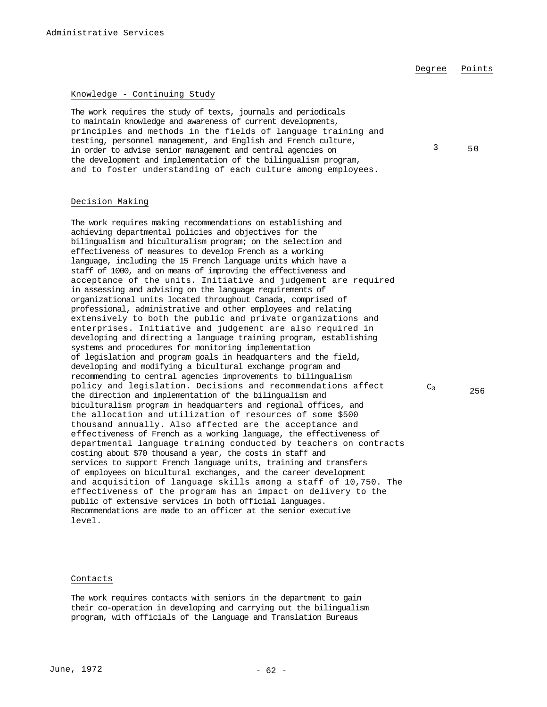3 50

# Knowledge - Continuing Study

The work requires the study of texts, journals and periodicals to maintain knowledge and awareness of current developments, principles and methods in the fields of language training and testing, personnel management, and English and French culture, in order to advise senior management and central agencies on the development and implementation of the bilingualism program, and to foster understanding of each culture among employees.

### Decision Making

The work requires making recommendations on establishing and achieving departmental policies and objectives for the bilingualism and biculturalism program; on the selection and effectiveness of measures to develop French as a working language, including the 15 French language units which have a staff of 1000, and on means of improving the effectiveness and acceptance of the units. Initiative and judgement are required in assessing and advising on the language requirements of organizational units located throughout Canada, comprised of professional, administrative and other employees and relating extensively to both the public and private organizations and enterprises. Initiative and judgement are also required in developing and directing a language training program, establishing systems and procedures for monitoring implementation of legislation and program goals in headquarters and the field, developing and modifying a bicultural exchange program and recommending to central agencies improvements to bilingualism policy and legislation. Decisions and recommendations affect the direction and implementation of the bilingualism and biculturalism program in headquarters and regional offices, and the allocation and utilization of resources of some \$500 thousand annually. Also affected are the acceptance and effectiveness of French as a working language, the effectiveness of departmental language training conducted by teachers on contracts costing about \$70 thousand a year, the costs in staff and services to support French language units, training and transfers of employees on bicultural exchanges, and the career development and acquisition of language skills among a staff of 10,750. The effectiveness of the program has an impact on delivery to the public of extensive services in both official languages. Recommendations are made to an officer at the senior executive level.

### Contacts

The work requires contacts with seniors in the department to gain their co-operation in developing and carrying out the bilingualism program, with officials of the Language and Translation Bureaus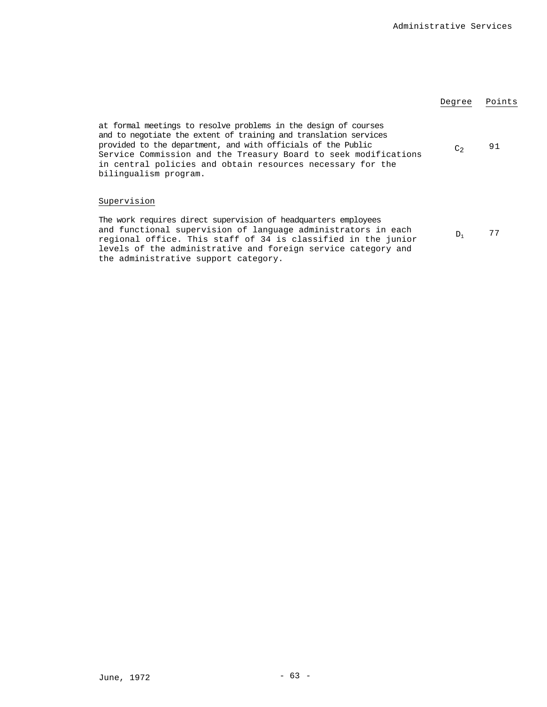|                                                                                                                                                                                                                                                                                                                                                               | Degree         | Points |
|---------------------------------------------------------------------------------------------------------------------------------------------------------------------------------------------------------------------------------------------------------------------------------------------------------------------------------------------------------------|----------------|--------|
| at formal meetings to resolve problems in the design of courses<br>and to negotiate the extent of training and translation services<br>provided to the department, and with officials of the Public<br>Service Commission and the Treasury Board to seek modifications<br>in central policies and obtain resources necessary for the<br>bilingualism program. | C <sub>2</sub> | 91     |
| Supervision                                                                                                                                                                                                                                                                                                                                                   |                |        |
| The work requires direct supervision of headquarters employees<br>and functional supervision of language administrators in each<br>regional office. This staff of 34 is classified in the junior<br>levels of the administrative and foreign service category and                                                                                             | $D_1$          | 77     |

the administrative support category.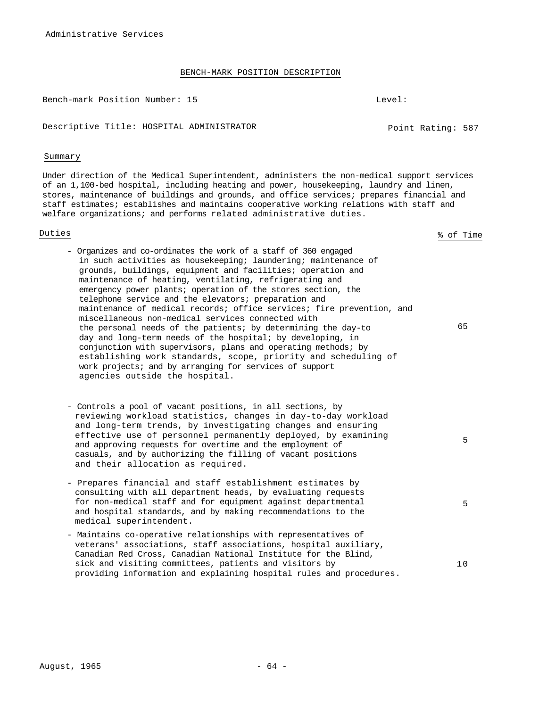Bench-mark Position Number: 15 Level:

Descriptive Title: HOSPITAL ADMINISTRATOR Point Rating: 587

#### Summary

Under direction of the Medical Superintendent, administers the non-medical support services of an 1,100-bed hospital, including heating and power, housekeeping, laundry and linen, stores, maintenance of buildings and grounds, and office services; prepares financial and staff estimates; establishes and maintains cooperative working relations with staff and welfare organizations; and performs related administrative duties.

Duties % of Time

65

5

5

- Organizes and co-ordinates the work of a staff of 360 engaged in such activities as housekeeping; laundering; maintenance of grounds, buildings, equipment and facilities; operation and maintenance of heating, ventilating, refrigerating and emergency power plants; operation of the stores section, the telephone service and the elevators; preparation and maintenance of medical records; office services; fire prevention, and miscellaneous non-medical services connected with the personal needs of the patients; by determining the day-to day and long-term needs of the hospital; by developing, in conjunction with supervisors, plans and operating methods; by establishing work standards, scope, priority and scheduling of work projects; and by arranging for services of support agencies outside the hospital.

- Controls a pool of vacant positions, in all sections, by reviewing workload statistics, changes in day-to-day workload and long-term trends, by investigating changes and ensuring effective use of personnel permanently deployed, by examining and approving requests for overtime and the employment of casuals, and by authorizing the filling of vacant positions and their allocation as required.

- Prepares financial and staff establishment estimates by consulting with all department heads, by evaluating requests for non-medical staff and for equipment against departmental and hospital standards, and by making recommendations to the medical superintendent. - Maintains co-operative relationships with representatives of

veterans' associations, staff associations, hospital auxiliary, Canadian Red Cross, Canadian National Institute for the Blind, sick and visiting committees, patients and visitors by providing information and explaining hospital rules and procedures. 10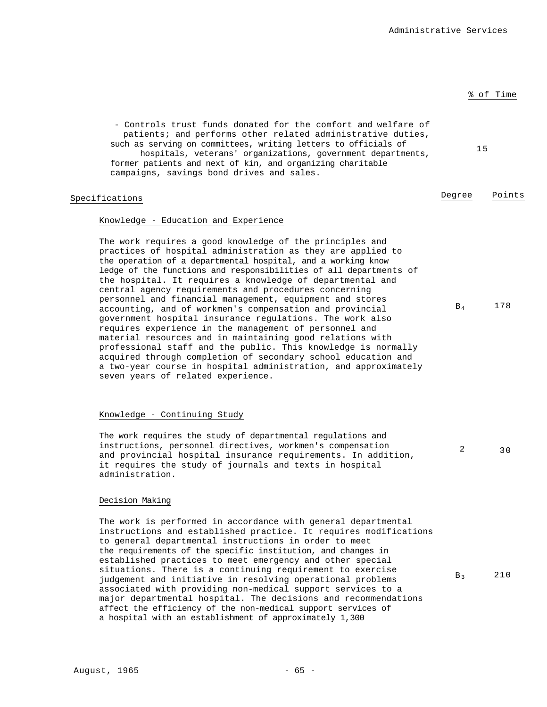15

- Controls trust funds donated for the comfort and welfare of patients; and performs other related administrative duties, such as serving on committees, writing letters to officials of hospitals, veterans' organizations, government departments, former patients and next of kin, and organizing charitable campaigns, savings bond drives and sales.

# Specifications **Degree** Points

# Knowledge - Education and Experience

The work requires a good knowledge of the principles and practices of hospital administration as they are applied to the operation of a departmental hospital, and a working know ledge of the functions and responsibilities of all departments of the hospital. It requires a knowledge of departmental and central agency requirements and procedures concerning personnel and financial management, equipment and stores accounting, and of workmen's compensation and provincial government hospital insurance regulations. The work also requires experience in the management of personnel and material resources and in maintaining good relations with professional staff and the public. This knowledge is normally acquired through completion of secondary school education and a two-year course in hospital administration, and approximately seven years of related experience. B4 178

#### Knowledge - Continuing Study

The work requires the study of departmental regulations and instructions, personnel directives, workmen's compensation and provincial hospital insurance requirements. In addition, it requires the study of journals and texts in hospital administration. 2 30

# Decision Making

The work is performed in accordance with general departmental instructions and established practice. It requires modifications to general departmental instructions in order to meet the requirements of the specific institution, and changes in established practices to meet emergency and other special situations. There is a continuing requirement to exercise judgement and initiative in resolving operational problems associated with providing non-medical support services to a major departmental hospital. The decisions and recommendations affect the efficiency of the non-medical support services of a hospital with an establishment of approximately 1,300 B<sub>3</sub> 210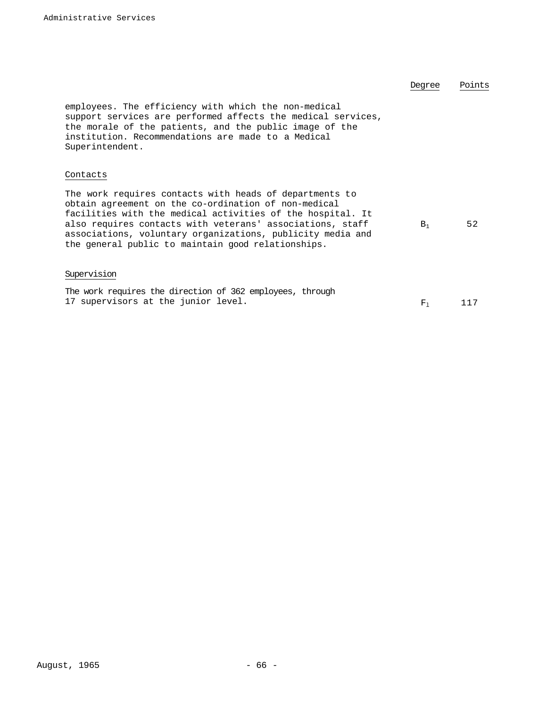|                                                                                                                                                                                                                                                                                                                                                                | Dearee  | Points |
|----------------------------------------------------------------------------------------------------------------------------------------------------------------------------------------------------------------------------------------------------------------------------------------------------------------------------------------------------------------|---------|--------|
| employees. The efficiency with which the non-medical<br>support services are performed affects the medical services,<br>the morale of the patients, and the public image of the<br>institution. Recommendations are made to a Medical<br>Superintendent.                                                                                                       |         |        |
| Contacts                                                                                                                                                                                                                                                                                                                                                       |         |        |
| The work requires contacts with heads of departments to<br>obtain agreement on the co-ordination of non-medical<br>facilities with the medical activities of the hospital. It<br>also requires contacts with veterans' associations, staff<br>associations, voluntary organizations, publicity media and<br>the general public to maintain good relationships. | $B_1$   | 52     |
| Supervision                                                                                                                                                                                                                                                                                                                                                    |         |        |
| The work requires the direction of 362 employees, through<br>17 supervisors at the junior level.                                                                                                                                                                                                                                                               | $F_{1}$ | 117    |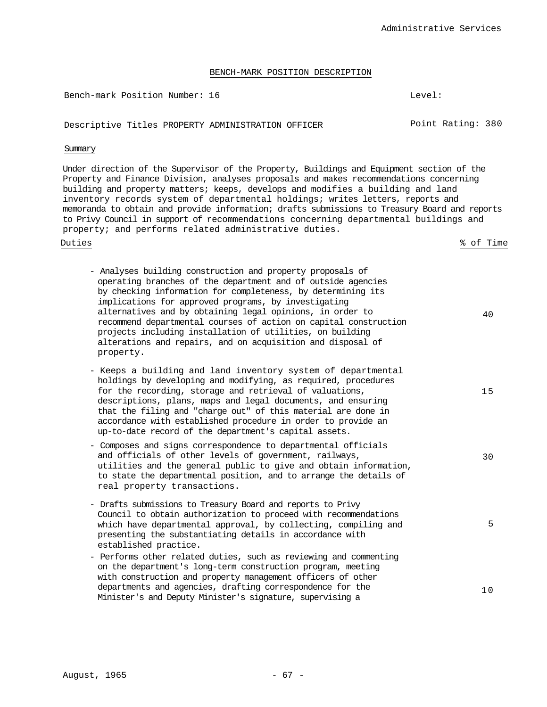Bench-mark Position Number: 16 Level: Level:

Descriptive Titles PROPERTY ADMINISTRATION OFFICER FOINT Rating: 380

# Summary

Under direction of the Supervisor of the Property, Buildings and Equipment section of the Property and Finance Division, analyses proposals and makes recommendations concerning building and property matters; keeps, develops and modifies a building and land inventory records system of departmental holdings; writes letters, reports and memoranda to obtain and provide information; drafts submissions to Treasury Board and reports to Privy Council in support of recommendations concerning departmental buildings and property; and performs related administrative duties.

Duties % of Time

30

- Analyses building construction and property proposals of operating branches of the department and of outside agencies by checking information for completeness, by determining its implications for approved programs, by investigating alternatives and by obtaining legal opinions, in order to recommend departmental courses of action on capital construction projects including installation of utilities, on building alterations and repairs, and on acquisition and disposal of property. 40 - Keeps a building and land inventory system of departmental
- holdings by developing and modifying, as required, procedures for the recording, storage and retrieval of valuations, descriptions, plans, maps and legal documents, and ensuring that the filing and "charge out" of this material are done in accordance with established procedure in order to provide an up-to-date record of the department's capital assets. 15
- Composes and signs correspondence to departmental officials and officials of other levels of government, railways, utilities and the general public to give and obtain information, to state the departmental position, and to arrange the details of real property transactions.
- Drafts submissions to Treasury Board and reports to Privy Council to obtain authorization to proceed with recommendations which have departmental approval, by collecting, compiling and presenting the substantiating details in accordance with established practice.
- Performs other related duties, such as reviewing and commenting on the department's long-term construction program, meeting with construction and property management officers of other departments and agencies, drafting correspondence for the Minister's and Deputy Minister's signature, supervising a 10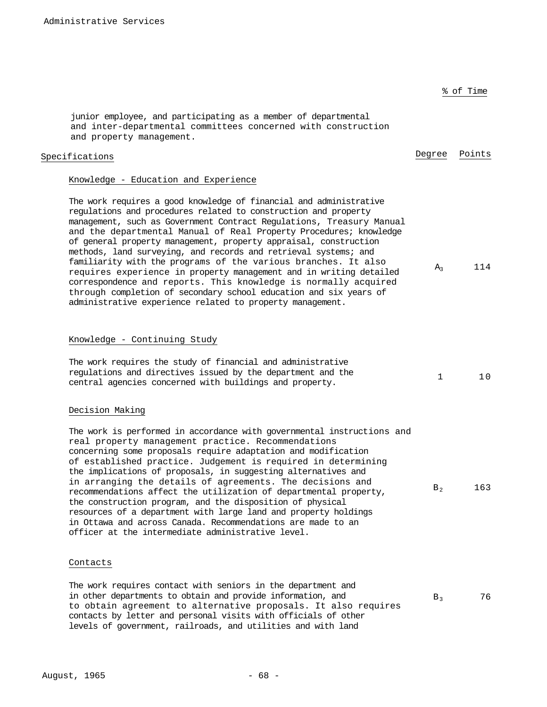% of Time junior employee, and participating as a member of departmental and inter-departmental committees concerned with construction and property management. Specifications **Degree** Points Knowledge - Education and Experience The work requires a good knowledge of financial and administrative regulations and procedures related to construction and property management, such as Government Contract Regulations, Treasury Manual and the departmental Manual of Real Property Procedures; knowledge of general property management, property appraisal, construction methods, land surveying, and records and retrieval systems; and familiarity with the programs of the various branches. It also requires experience in property management and in writing detailed correspondence and reports. This knowledge is normally acquired through completion of secondary school education and six years of administrative experience related to property management. A<sub>3</sub> 114 Knowledge - Continuing Study The work requires the study of financial and administrative regulations and directives issued by the department and the regulations and directives issued by the department and the the state of  $1$  10<br>central agencies concerned with buildings and property. Decision Making The work is performed in accordance with governmental instructions and real property management practice. Recommendations concerning some proposals require adaptation and modification of established practice. Judgement is required in determining the implications of proposals, in suggesting alternatives and in arranging the details of agreements. The decisions and recommendations affect the utilization of departmental property, the construction program, and the disposition of physical resources of a department with large land and property holdings in Ottawa and across Canada. Recommendations are made to an officer at the intermediate administrative level.  $B_2$  163 Contacts The work requires contact with seniors in the department and in other departments to obtain and provide information, and to obtain agreement to alternative proposals. It also requires  $B_3$  76

contacts by letter and personal visits with officials of other levels of government, railroads, and utilities and with land